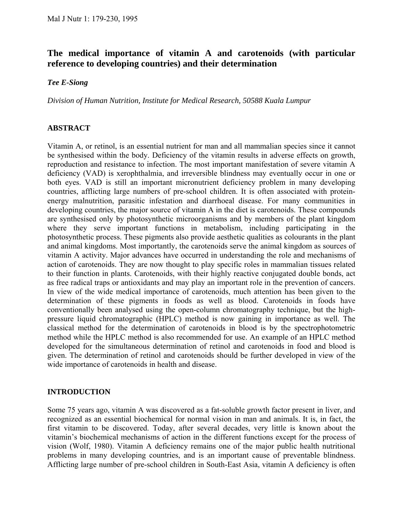# **The medical importance of vitamin A and carotenoids (with particular reference to developing countries) and their determination**

### *Tee E-Siong*

*Division of Human Nutrition, Institute for Medical Research, 50588 Kuala Lumpur* 

### **ABSTRACT**

Vitamin A, or retinol, is an essential nutrient for man and all mammalian species since it cannot be synthesised within the body. Deficiency of the vitamin results in adverse effects on growth, reproduction and resistance to infection. The most important manifestation of severe vitamin A deficiency (VAD) is xerophthalmia, and irreversible blindness may eventually occur in one or both eyes. VAD is still an important micronutrient deficiency problem in many developing countries, afflicting large numbers of pre-school children. It is often associated with proteinenergy malnutrition, parasitic infestation and diarrhoeal disease. For many communities in developing countries, the major source of vitamin A in the diet is carotenoids. These compounds are synthesised only by photosynthetic microorganisms and by members of the plant kingdom where they serve important functions in metabolism, including participating in the photosynthetic process. These pigments also provide aesthetic qualities as colourants in the plant and animal kingdoms. Most importantly, the carotenoids serve the animal kingdom as sources of vitamin A activity. Major advances have occurred in understanding the role and mechanisms of action of carotenoids. They are now thought to play specific roles in mammalian tissues related to their function in plants. Carotenoids, with their highly reactive conjugated double bonds, act as free radical traps or antioxidants and may play an important role in the prevention of cancers. In view of the wide medical importance of carotenoids, much attention has been given to the determination of these pigments in foods as well as blood. Carotenoids in foods have conventionally been analysed using the open-column chromatography technique, but the highpressure liquid chromatographic (HPLC) method is now gaining in importance as well. The classical method for the determination of carotenoids in blood is by the spectrophotometric method while the HPLC method is also recommended for use. An example of an HPLC method developed for the simultaneous determination of retinol and carotenoids in food and blood is given. The determination of retinol and carotenoids should be further developed in view of the wide importance of carotenoids in health and disease.

### **INTRODUCTION**

Some 75 years ago, vitamin A was discovered as a fat-soluble growth factor present in liver, and recognized as an essential biochemical for normal vision in man and animals. It is, in fact, the first vitamin to be discovered. Today, after several decades, very little is known about the vitamin's biochemical mechanisms of action in the different functions except for the process of vision (Wolf, 1980). Vitamin A deficiency remains one of the major public health nutritional problems in many developing countries, and is an important cause of preventable blindness. Afflicting large number of pre-school children in South-East Asia, vitamin A deficiency is often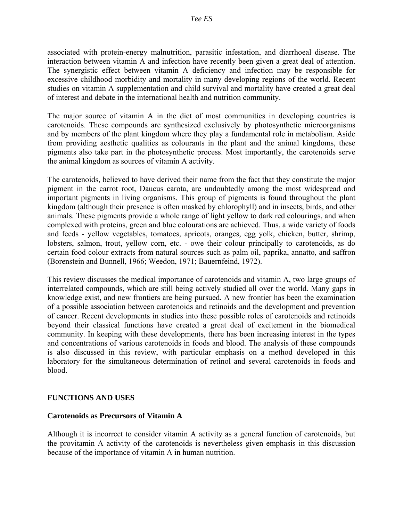associated with protein-energy malnutrition, parasitic infestation, and diarrhoeal disease. The interaction between vitamin A and infection have recently been given a great deal of attention. The synergistic effect between vitamin A deficiency and infection may be responsible for excessive childhood morbidity and mortality in many developing regions of the world. Recent studies on vitamin A supplementation and child survival and mortality have created a great deal of interest and debate in the international health and nutrition community.

The major source of vitamin A in the diet of most communities in developing countries is carotenoids. These compounds are synthesized exclusively by photosynthetic microorganisms and by members of the plant kingdom where they play a fundamental role in metabolism. Aside from providing aesthetic qualities as colourants in the plant and the animal kingdoms, these pigments also take part in the photosynthetic process. Most importantly, the carotenoids serve the animal kingdom as sources of vitamin A activity.

The carotenoids, believed to have derived their name from the fact that they constitute the major pigment in the carrot root, Daucus carota, are undoubtedly among the most widespread and important pigments in living organisms. This group of pigments is found throughout the plant kingdom (although their presence is often masked by chlorophyll) and in insects, birds, and other animals. These pigments provide a whole range of light yellow to dark red colourings, and when complexed with proteins, green and blue colourations are achieved. Thus, a wide variety of foods and feeds - yellow vegetables, tomatoes, apricots, oranges, egg yolk, chicken, butter, shrimp, lobsters, salmon, trout, yellow corn, etc. - owe their colour principally to carotenoids, as do certain food colour extracts from natural sources such as palm oil, paprika, annatto, and saffron (Borenstein and Bunnell, 1966; Weedon, 1971; Bauernfeind, 1972).

This review discusses the medical importance of carotenoids and vitamin A, two large groups of interrelated compounds, which are still being actively studied all over the world. Many gaps in knowledge exist, and new frontiers are being pursued. A new frontier has been the examination of a possible association between carotenoids and retinoids and the development and prevention of cancer. Recent developments in studies into these possible roles of carotenoids and retinoids beyond their classical functions have created a great deal of excitement in the biomedical community. In keeping with these developments, there has been increasing interest in the types and concentrations of various carotenoids in foods and blood. The analysis of these compounds is also discussed in this review, with particular emphasis on a method developed in this laboratory for the simultaneous determination of retinol and several carotenoids in foods and blood.

### **FUNCTIONS AND USES**

### **Carotenoids as Precursors of Vitamin A**

Although it is incorrect to consider vitamin A activity as a general function of carotenoids, but the provitamin A activity of the carotenoids is nevertheless given emphasis in this discussion because of the importance of vitamin A in human nutrition.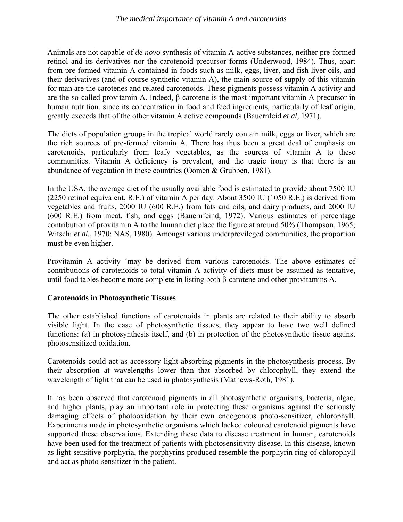Animals are not capable of *de novo* synthesis of vitamin A-active substances, neither pre-formed retinol and its derivatives nor the carotenoid precursor forms (Underwood, 1984). Thus, apart from pre-formed vitamin A contained in foods such as milk, eggs, liver, and fish liver oils, and their derivatives (and of course synthetic vitamin A), the main source of supply of this vitamin for man are the carotenes and related carotenoids. These pigments possess vitamin A activity and are the so-called provitamin A. Indeed, β-carotene is the most important vitamin A precursor in human nutrition, since its concentration in food and feed ingredients, particularly of leaf origin, greatly exceeds that of the other vitamin A active compounds (Bauernfeid *et al,* 1971).

The diets of population groups in the tropical world rarely contain milk, eggs or liver, which are the rich sources of pre-formed vitamin A. There has thus been a great deal of emphasis on carotenoids, particularly from leafy vegetables, as the sources of vitamin A to these communities. Vitamin A deficiency is prevalent, and the tragic irony is that there is an abundance of vegetation in these countries (Oomen & Grubben, 1981).

In the USA, the average diet of the usually available food is estimated to provide about 7500 IU (2250 retinol equivalent, R.E.) of vitamin A per day. About 3500 IU (1050 R.E.) is derived from vegetables and fruits, 2000 IU (600 R.E.) from fats and oils, and dairy products, and 2000 IU (600 R.E.) from meat, fish, and eggs (Bauernfeind, 1972). Various estimates of percentage contribution of provitamin A to the human diet place the figure at around 50% (Thompson, 1965; Witschi *et al.,* 1970; NAS, 1980). Amongst various underprevileged communities, the proportion must be even higher.

Provitamin A activity 'may be derived from various carotenoids. The above estimates of contributions of carotenoids to total vitamin A activity of diets must be assumed as tentative, until food tables become more complete in listing both β-carotene and other provitamins A.

# **Carotenoids in Photosynthetic Tissues**

The other established functions of carotenoids in plants are related to their ability to absorb visible light. In the case of photosynthetic tissues, they appear to have two well defined functions: (a) in photosynthesis itself, and (b) in protection of the photosynthetic tissue against photosensitized oxidation.

Carotenoids could act as accessory light-absorbing pigments in the photosynthesis process. By their absorption at wavelengths lower than that absorbed by chlorophyll, they extend the wavelength of light that can be used in photosynthesis (Mathews-Roth, 1981).

It has been observed that carotenoid pigments in all photosynthetic organisms, bacteria, algae, and higher plants, play an important role in protecting these organisms against the seriously damaging effects of photooxidation by their own endogenous photo-sensitizer, chlorophyll. Experiments made in photosynthetic organisms which lacked coloured carotenoid pigments have supported these observations. Extending these data to disease treatment in human, carotenoids have been used for the treatment of patients with photosensitivity disease. In this disease, known as light-sensitive porphyria, the porphyrins produced resemble the porphyrin ring of chlorophyll and act as photo-sensitizer in the patient.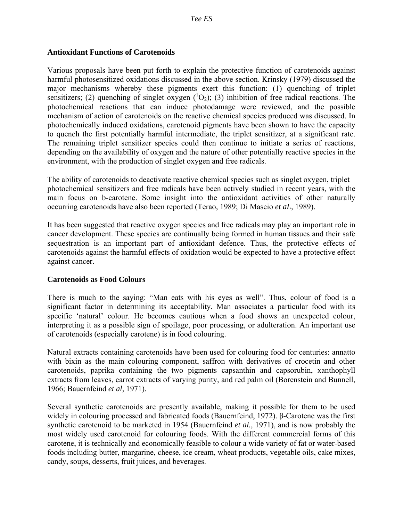### **Antioxidant Functions of Carotenoids**

Various proposals have been put forth to explain the protective function of carotenoids against harmful photosensitized oxidations discussed in the above section. Krinsky (1979) discussed the major mechanisms whereby these pigments exert this function: (1) quenching of triplet sensitizers; (2) quenching of singlet oxygen  $(^1O_2)$ ; (3) inhibition of free radical reactions. The photochemical reactions that can induce photodamage were reviewed, and the possible mechanism of action of carotenoids on the reactive chemical species produced was discussed. In photochemically induced oxidations, carotenoid pigments have been shown to have the capacity to quench the first potentially harmful intermediate, the triplet sensitizer, at a significant rate. The remaining triplet sensitizer species could then continue to initiate a series of reactions, depending on the availability of oxygen and the nature of other potentially reactive species in the environment, with the production of singlet oxygen and free radicals.

The ability of carotenoids to deactivate reactive chemical species such as singlet oxygen, triplet photochemical sensitizers and free radicals have been actively studied in recent years, with the main focus on b-carotene. Some insight into the antioxidant activities of other naturally occurring carotenoids have also been reported (Terao, 1989; Di Mascio *et aL,* 1989).

It has been suggested that reactive oxygen species and free radicals may play an important role in cancer development. These species are continually being formed in human tissues and their safe sequestration is an important part of antioxidant defence. Thus, the protective effects of carotenoids against the harmful effects of oxidation would be expected to have a protective effect against cancer.

### **Carotenoids as Food Colours**

There is much to the saying: "Man eats with his eyes as well". Thus, colour of food is a significant factor in determining its acceptability. Man associates a particular food with its specific 'natural' colour. He becomes cautious when a food shows an unexpected colour, interpreting it as a possible sign of spoilage, poor processing, or adulteration. An important use of carotenoids (especially carotene) is in food colouring.

Natural extracts containing carotenoids have been used for colouring food for centuries: annatto with bixin as the main colouring component, saffron with derivatives of crocetin and other carotenoids, paprika containing the two pigments capsanthin and capsorubin, xanthophyll extracts from leaves, carrot extracts of varying purity, and red palm oil (Borenstein and Bunnell, 1966; Bauernfeind *et al,* 1971).

Several synthetic carotenoids are presently available, making it possible for them to be used widely in colouring processed and fabricated foods (Bauernfeind, 1972). β-Carotene was the first synthetic carotenoid to be marketed in 1954 (Bauernfeind *et al.,* 1971), and is now probably the most widely used carotenoid for colouring foods. With the different commercial forms of this carotene, it is technically and economically feasible to colour a wide variety of fat or water-based foods including butter, margarine, cheese, ice cream, wheat products, vegetable oils, cake mixes, candy, soups, desserts, fruit juices, and beverages.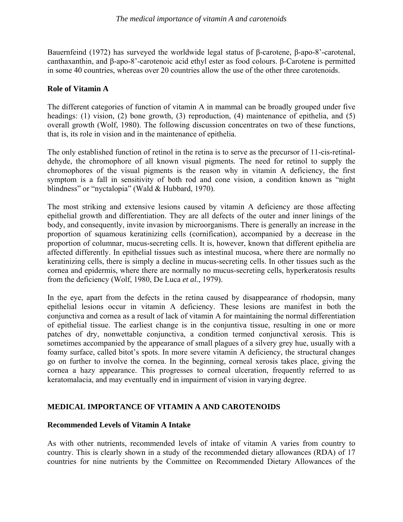Bauernfeind (1972) has surveyed the worldwide legal status of β-carotene, β-apo-8'-carotenal, canthaxanthin, and β-apo-8'-carotenoic acid ethyl ester as food colours. β-Carotene is permitted in some 40 countries, whereas over 20 countries allow the use of the other three carotenoids.

# **Role of Vitamin A**

The different categories of function of vitamin A in mammal can be broadly grouped under five headings: (1) vision, (2) bone growth, (3) reproduction, (4) maintenance of epithelia, and (5) overall growth (Wolf, 1980). The following discussion concentrates on two of these functions, that is, its role in vision and in the maintenance of epithelia.

The only established function of retinol in the retina is to serve as the precursor of 11-cis-retinaldehyde, the chromophore of all known visual pigments. The need for retinol to supply the chromophores of the visual pigments is the reason why in vitamin A deficiency, the first symptom is a fall in sensitivity of both rod and cone vision, a condition known as "night" blindness" or "nyctalopia" (Wald & Hubbard, 1970).

The most striking and extensive lesions caused by vitamin A deficiency are those affecting epithelial growth and differentiation. They are all defects of the outer and inner linings of the body, and consequently, invite invasion by microorganisms. There is generally an increase in the proportion of squamous keratinizing cells (cornification), accompanied by a decrease in the proportion of columnar, mucus-secreting cells. It is, however, known that different epithelia are affected differently. In epithelial tissues such as intestinal mucosa, where there are normally no keratinizing cells, there is simply a decline in mucus-secreting cells. In other tissues such as the cornea and epidermis, where there are normally no mucus-secreting cells, hyperkeratosis results from the deficiency (Wolf, 1980, De Luca *et al.*, 1979).

In the eye, apart from the defects in the retina caused by disappearance of rhodopsin, many epithelial lesions occur in vitamin A deficiency. These lesions are manifest in both the conjunctiva and cornea as a result of lack of vitamin A for maintaining the normal differentiation of epithelial tissue. The earliest change is in the conjuntiva tissue, resulting in one or more patches of dry, nonwettable conjunctiva, a condition termed conjunctival xerosis. This is sometimes accompanied by the appearance of small plagues of a silvery grey hue, usually with a foamy surface, called bitot's spots. In more severe vitamin A deficiency, the structural changes go on further to involve the cornea. In the beginning, corneal xerosis takes place, giving the cornea a hazy appearance. This progresses to corneal ulceration, frequently referred to as keratomalacia, and may eventually end in impairment of vision in varying degree.

# **MEDICAL IMPORTANCE OF VITAMIN A AND CAROTENOIDS**

# **Recommended Levels of Vitamin A Intake**

As with other nutrients, recommended levels of intake of vitamin A varies from country to country. This is clearly shown in a study of the recommended dietary allowances (RDA) of 17 countries for nine nutrients by the Committee on Recommended Dietary Allowances of the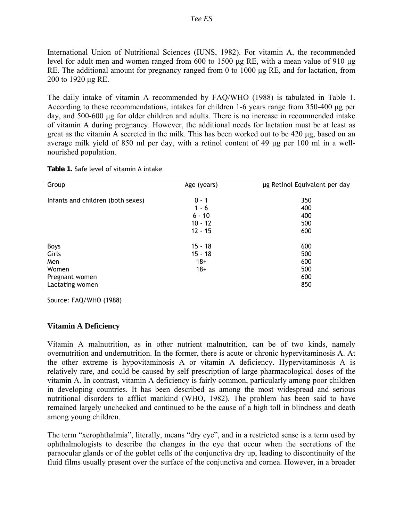International Union of Nutritional Sciences (IUNS, 1982). For vitamin A, the recommended level for adult men and women ranged from 600 to 1500 µg RE, with a mean value of 910 µg RE. The additional amount for pregnancy ranged from 0 to 1000  $\mu$ g RE, and for lactation, from 200 to 1920 µg RE.

The daily intake of vitamin A recommended by FAQ/WHO (1988) is tabulated in Table 1. According to these recommendations, intakes for children 1-6 years range from 350-400 µg per day, and 500-600 µg for older children and adults. There is no increase in recommended intake of vitamin A during pregnancy. However, the additional needs for lactation must be at least as great as the vitamin A secreted in the milk. This has been worked out to be 420 µg, based on an average milk yield of 850 ml per day, with a retinol content of 49 µg per 100 ml in a wellnourished population.

| Group                             | Age (years) | µg Retinol Equivalent per day |
|-----------------------------------|-------------|-------------------------------|
|                                   |             |                               |
| Infants and children (both sexes) | $0 - 1$     | 350                           |
|                                   | $1 - 6$     | 400                           |
|                                   | $6 - 10$    | 400                           |
|                                   | $10 - 12$   | 500                           |
|                                   | $12 - 15$   | 600                           |
|                                   |             |                               |
| <b>Boys</b>                       | $15 - 18$   | 600                           |
| Girls                             | $15 - 18$   | 500                           |
| Men                               | $18+$       | 600                           |
| Women                             | $18+$       | 500                           |
| Pregnant women                    |             | 600                           |
| Lactating women                   |             | 850                           |

**Table 1.** Safe level of vitamin A intake

Source: FAQ/WHO (1988)

### **Vitamin A Deficiency**

Vitamin A malnutrition, as in other nutrient malnutrition, can be of two kinds, namely overnutrition and undernutrition. In the former, there is acute or chronic hypervitaminosis A. At the other extreme is hypovitaminosis A or vitamin A deficiency. Hypervitaminosis A is relatively rare, and could be caused by self prescription of large pharmacological doses of the vitamin A. In contrast, vitamin A deficiency is fairly common, particularly among poor children in developing countries. It has been described as among the most widespread and serious nutritional disorders to afflict mankind (WHO, 1982). The problem has been said to have remained largely unchecked and continued to be the cause of a high toll in blindness and death among young children.

The term "xerophthalmia", literally, means "dry eye", and in a restricted sense is a term used by ophthalmologists to describe the changes in the eye that occur when the secretions of the paraocular glands or of the goblet cells of the conjunctiva dry up, leading to discontinuity of the fluid films usually present over the surface of the conjunctiva and cornea. However, in a broader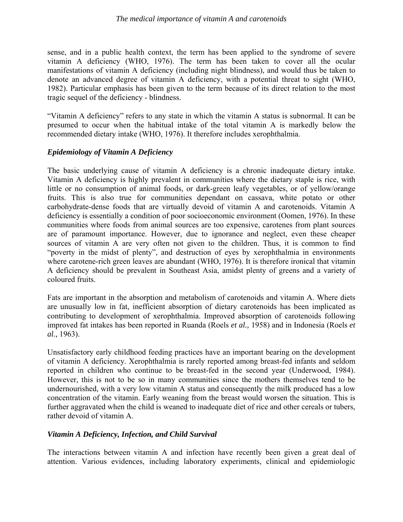sense, and in a public health context, the term has been applied to the syndrome of severe vitamin A deficiency (WHO, 1976). The term has been taken to cover all the ocular manifestations of vitamin A deficiency (including night blindness), and would thus be taken to denote an advanced degree of vitamin A deficiency, with a potential threat to sight (WHO, 1982). Particular emphasis has been given to the term because of its direct relation to the most tragic sequel of the deficiency - blindness.

"Vitamin A deficiency" refers to any state in which the vitamin A status is subnormal. It can be presumed to occur when the habitual intake of the total vitamin A is markedly below the recommended dietary intake (WHO, 1976). It therefore includes xerophthalmia.

# *Epidemiology of Vitamin A Deficiency*

The basic underlying cause of vitamin A deficiency is a chronic inadequate dietary intake. Vitamin A deficiency is highly prevalent in communities where the dietary staple is rice, with little or no consumption of animal foods, or dark-green leafy vegetables, or of yellow/orange fruits. This is also true for communities dependant on cassava, white potato or other carbohydrate-dense foods that are virtually devoid of vitamin A and carotenoids. Vitamin A deficiency is essentially a condition of poor socioeconomic environment (Oomen, 1976). In these communities where foods from animal sources are too expensive, carotenes from plant sources are of paramount importance. However, due to ignorance and neglect, even these cheaper sources of vitamin A are very often not given to the children. Thus, it is common to find "poverty in the midst of plenty", and destruction of eyes by xerophthalmia in environments where carotene-rich green leaves are abundant (WHO, 1976). It is therefore ironical that vitamin A deficiency should be prevalent in Southeast Asia, amidst plenty of greens and a variety of coloured fruits.

Fats are important in the absorption and metabolism of carotenoids and vitamin A. Where diets are unusually low in fat, inefficient absorption of dietary carotenoids has been implicated as contributing to development of xerophthalmia. Improved absorption of carotenoids following improved fat intakes has been reported in Ruanda (Roels *et al.,* 1958) and in Indonesia (Roels *et al.,* 1963).

Unsatisfactory early childhood feeding practices have an important bearing on the development of vitamin A deficiency. Xerophthalmia is rarely reported among breast-fed infants and seldom reported in children who continue to be breast-fed in the second year (Underwood, 1984). However, this is not to be so in many communities since the mothers themselves tend to be undernourished, with a very low vitamin A status and consequently the milk produced has a low concentration of the vitamin. Early weaning from the breast would worsen the situation. This is further aggravated when the child is weaned to inadequate diet of rice and other cereals or tubers, rather devoid of vitamin A.

# *Vitamin A Deficiency, Infection, and Child Survival*

The interactions between vitamin A and infection have recently been given a great deal of attention. Various evidences, including laboratory experiments, clinical and epidemiologic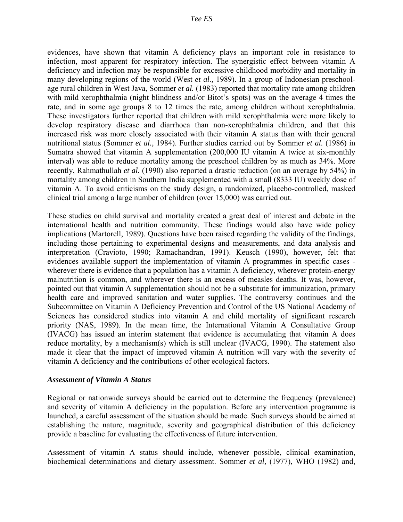evidences, have shown that vitamin A deficiency plays an important role in resistance to infection, most apparent for respiratory infection. The synergistic effect between vitamin A deficiency and infection may be responsible for excessive childhood morbidity and mortality in many developing regions of the world (West *et al.,* 1989). In a group of Indonesian preschoolage rural children in West Java, Sommer *et al.* (1983) reported that mortality rate among children with mild xerophthalmia (night blindness and/or Bitot's spots) was on the average 4 times the rate, and in some age groups 8 to 12 times the rate, among children without xerophthalmia. These investigators further reported that children with mild xerophthalmia were more likely to develop respiratory disease and diarrhoea than non-xerophthalmia children, and that this increased risk was more closely associated with their vitamin A status than with their general nutritional status (Sommer *et al.,* 1984). Further studies carried out by Sommer *et al.* (1986) in Sumatra showed that vitamin A supplementation (200,000 IU vitamin A twice at six-monthly interval) was able to reduce mortality among the preschool children by as much as 34%. More recently, Rahmathullah *et al.* (1990) also reported a drastic reduction (on an average by 54%) in mortality among children in Southern India supplemented with a small (8333 IU) weekly dose of vitamin A. To avoid criticisms on the study design, a randomized, placebo-controlled, masked clinical trial among a large number of children (over 15,000) was carried out.

These studies on child survival and mortality created a great deal of interest and debate in the international health and nutrition community. These findings would also have wide policy implications (Martorell, 1989). Questions have been raised regarding the validity of the findings, including those pertaining to experimental designs and measurements, and data analysis and interpretation (Cravioto, 1990; Ramachandran, 1991). Keusch (1990), however, felt that evidences available support the implementation of vitamin A programmes in specific cases wherever there is evidence that a population has a vitamin A deficiency, wherever protein-energy malnutrition is common, and wherever there is an excess of measles deaths. It was, however, pointed out that vitamin A supplementation should not be a substitute for immunization, primary health care and improved sanitation and water supplies. The controversy continues and the Subcommittee on Vitamin A Deficiency Prevention and Control of the US National Academy of Sciences has considered studies into vitamin A and child mortality of significant research priority (NAS, 1989). In the mean time, the International Vitamin A Consultative Group (IVACG) has issued an interim statement that evidence is accumulating that vitamin A does reduce mortality, by a mechanism(s) which is still unclear (IVACG, 1990). The statement also made it clear that the impact of improved vitamin A nutrition will vary with the severity of vitamin A deficiency and the contributions of other ecological factors.

#### *Assessment of Vitamin A Status*

Regional or nationwide surveys should be carried out to determine the frequency (prevalence) and severity of vitamin A deficiency in the population. Before any intervention programme is launched, a careful assessment of the situation should be made. Such surveys should be aimed at establishing the nature, magnitude, severity and geographical distribution of this deficiency provide a baseline for evaluating the effectiveness of future intervention.

Assessment of vitamin A status should include, whenever possible, clinical examination, biochemical determinations and dietary assessment. Sommer *et al,* (1977), WHO (1982) and,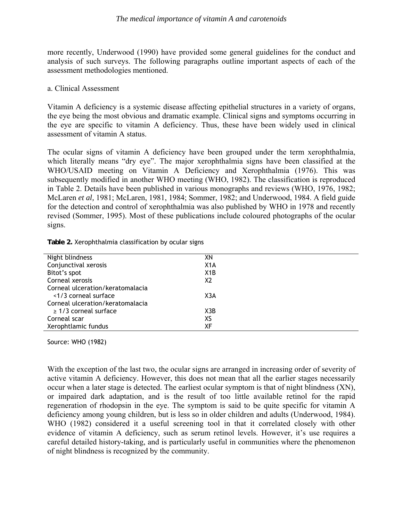more recently, Underwood (1990) have provided some general guidelines for the conduct and analysis of such surveys. The following paragraphs outline important aspects of each of the assessment methodologies mentioned.

### a. Clinical Assessment

Vitamin A deficiency is a systemic disease affecting epithelial structures in a variety of organs, the eye being the most obvious and dramatic example. Clinical signs and symptoms occurring in the eye are specific to vitamin A deficiency. Thus, these have been widely used in clinical assessment of vitamin A status.

The ocular signs of vitamin A deficiency have been grouped under the term xerophthalmia, which literally means "dry eye". The major xerophthalmia signs have been classified at the WHO/USAID meeting on Vitamin A Deficiency and Xerophthalmia (1976). This was subsequently modified in another WHO meeting (WHO, 1982). The classification is reproduced in Table 2. Details have been published in various monographs and reviews (WHO, 1976, 1982; McLaren *et al,* 1981; McLaren, 1981, 1984; Sommer, 1982; and Underwood, 1984. A field guide for the detection and control of xerophthalmia was also published by WHO in 1978 and recently revised (Sommer, 1995). Most of these publications include coloured photographs of the ocular signs.

**Table 2.** Xerophthalmia classification by ocular signs

| Night blindness                  | XN               |
|----------------------------------|------------------|
| Conjunctival xerosis             | X <sub>1</sub> A |
| Bitot's spot                     | X1B              |
| Corneal xerosis                  | X2               |
| Corneal ulceration/keratomalacia |                  |
| <1/3 corneal surface             | X3A              |
| Corneal ulceration/keratomalacia |                  |
| $\geq$ 1/3 corneal surface       | X3B              |
| Corneal scar                     | XS               |
| Xerophtlamic fundus              | ХF               |

Source: WHO (1982)

With the exception of the last two, the ocular signs are arranged in increasing order of severity of active vitamin A deficiency. However, this does not mean that all the earlier stages necessarily occur when a later stage is detected. The earliest ocular symptom is that of night blindness (XN), or impaired dark adaptation, and is the result of too little available retinol for the rapid regeneration of rhodopsin in the eye. The symptom is said to be quite specific for vitamin A deficiency among young children, but is less so in older children and adults (Underwood, 1984). WHO (1982) considered it a useful screening tool in that it correlated closely with other evidence of vitamin A deficiency, such as serum retinol levels. However, it's use requires a careful detailed history-taking, and is particularly useful in communities where the phenomenon of night blindness is recognized by the community.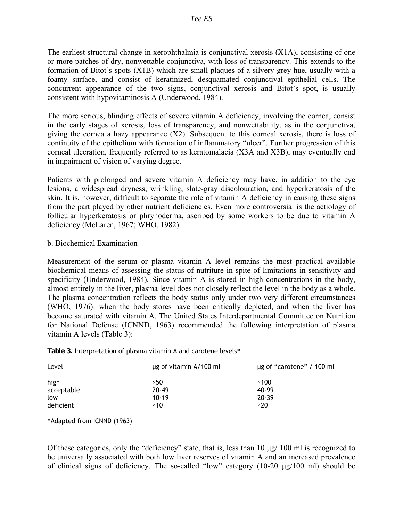The earliest structural change in xerophthalmia is conjunctival xerosis (X1A), consisting of one or more patches of dry, nonwettable conjunctiva, with loss of transparency. This extends to the formation of Bitot's spots (X1B) which are small plaques of a silvery grey hue, usually with a foamy surface, and consist of keratinized, desquamated conjunctival epithelial cells. The concurrent appearance of the two signs, conjunctival xerosis and Bitot's spot, is usually consistent with hypovitaminosis A (Underwood, 1984).

The more serious, blinding effects of severe vitamin A deficiency, involving the cornea, consist in the early stages of xerosis, loss of transparency, and nonwettability, as in the conjunctiva, giving the cornea a hazy appearance (X2). Subsequent to this corneal xerosis, there is loss of continuity of the epithelium with formation of inflammatory "ulcer". Further progression of this corneal ulceration, frequently referred to as keratomalacia (X3A and X3B), may eventually end in impairment of vision of varying degree.

Patients with prolonged and severe vitamin A deficiency may have, in addition to the eye lesions, a widespread dryness, wrinkling, slate-gray discolouration, and hyperkeratosis of the skin. It is, however, difficult to separate the role of vitamin A deficiency in causing these signs from the part played by other nutrient deficiencies. Even more controversial is the aetiology of follicular hyperkeratosis or phrynoderma, ascribed by some workers to be due to vitamin A deficiency (McLaren, 1967; WHO, 1982).

### b. Biochemical Examination

Measurement of the serum or plasma vitamin A level remains the most practical available biochemical means of assessing the status of nutriture in spite of limitations in sensitivity and specificity (Underwood, 1984)*.* Since vitamin A is stored in high concentrations in the body, almost entirely in the liver, plasma level does not closely reflect the level in the body as a whole. The plasma concentration reflects the body status only under two very different circumstances (WHO, 1976): when the body stores have been critically depleted, and when the liver has become saturated with vitamin A. The United States Interdepartmental Committee on Nutrition for National Defense (ICNND, 1963) recommended the following interpretation of plasma vitamin A levels (Table 3):

| Level      | $\mu$ g of vitamin A/100 ml | µg of "carotene" / 100 ml |
|------------|-----------------------------|---------------------------|
|            |                             |                           |
| high       | >50                         | >100                      |
| acceptable | $20 - 49$                   | 40-99                     |
| low        | $10-19$                     | $20 - 39$                 |
| deficient  | ~10                         | $20$                      |

**Table 3.** Interpretation of plasma vitamin A and carotene levels\*

\*Adapted from ICNND (1963)

Of these categories, only the "deficiency" state, that is, less than 10 µg/ 100 ml is recognized to be universally associated with both low liver reserves of vitamin A and an increased prevalence of clinical signs of deficiency. The so-called "low" category (10-20 µg/100 ml) should be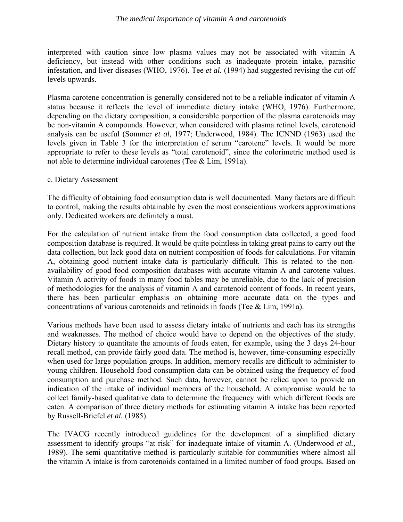#### *The medical importance of vitamin A and carotenoids*

interpreted with caution since low plasma values may not be associated with vitamin A deficiency, but instead with other conditions such as inadequate protein intake, parasitic infestation, and liver diseases (WHO, 1976). Tee *et al.* (1994) had suggested revising the cut-off levels upwards.

Plasma carotene concentration is generally considered not to be a reliable indicator of vitamin A status because it reflects the level of immediate dietary intake (WHO, 1976). Furthermore, depending on the dietary composition, a considerable porportion of the plasma carotenoids may be non-vitamin A compounds. However, when considered with plasma retinol levels, carotenoid analysis can be useful (Sommer *et al,* 1977; Underwood, 1984). The ICNND (1963) used the levels given in Table 3 for the interpretation of serum "carotene" levels. It would be more appropriate to refer to these levels as "total carotenoid", since the colorimetric method used is not able to determine individual carotenes (Tee & Lim, 1991a).

#### c. Dietary Assessment

The difficulty of obtaining food consumption data is well documented. Many factors are difficult to control, making the results obtainable by even the most conscientious workers approximations only. Dedicated workers are definitely a must.

For the calculation of nutrient intake from the food consumption data collected, a good food composition database is required. It would be quite pointless in taking great pains to carry out the data collection, but lack good data on nutrient composition of foods for calculations. For vitamin A, obtaining good nutrient intake data is particularly difficult. This is related to the nonavailability of good food composition databases with accurate vitamin A and carotene values. Vitamin A activity of foods in many food tables may be unreliable, due to the lack of precision of methodologies for the analysis of vitamin A and carotenoid content of foods. In recent years, there has been particular emphasis on obtaining more accurate data on the types and concentrations of various carotenoids and retinoids in foods (Tee & Lim, 1991a).

Various methods have been used to assess dietary intake of nutrients and each has its strengths and weaknesses. The method of choice would have to depend on the objectives of the study. Dietary history to quantitate the amounts of foods eaten, for example, using the 3 days 24-hour recall method, can provide fairly good data. The method is, however, time-consuming especially when used for large population groups. In addition, memory recalls are difficult to administer to young children. Household food consumption data can be obtained using the frequency of food consumption and purchase method. Such data, however, cannot be relied upon to provide an indication of the intake of individual members of the household. A compromise would be to collect family-based qualitative data to determine the frequency with which different foods are eaten. A comparison of three dietary methods for estimating vitamin A intake has been reported by Russell-Briefel *et al.* (1985).

The IVACG recently introduced guidelines for the development of a simplified dietary assessment to identify groups "at risk" for inadequate intake of vitamin A. (Underwood *et al.,*  1989). The semi quantitative method is particularly suitable for communities where almost all the vitamin A intake is from carotenoids contained in a limited number of food groups. Based on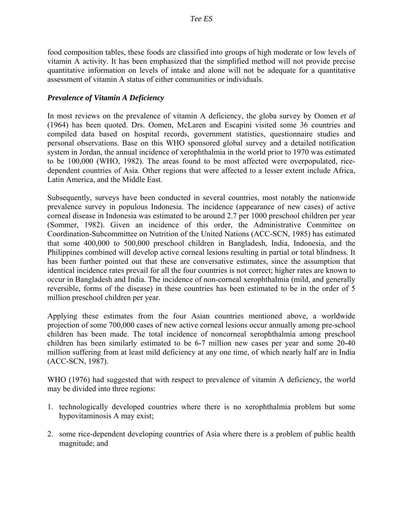food composition tables, these foods are classified into groups of high moderate or low levels of vitamin A activity. It has been emphasized that the simplified method will not provide precise quantitative information on levels of intake and alone will not be adequate for a quantitative assessment of vitamin A status of either communities or individuals.

### *Prevalence of Vitamin A Deficiency*

In most reviews on the prevalence of vitamin A deficiency, the globa survey by Oomen *et al*  (1964) has been quoted. Drs. Oomen, McLaren and Escapini visited some 36 countries and compiled data based on hospital records, government statistics, questionnaire studies and personal observations. Base on this WHO sponsored global survey and a detailed notification system in Jordan, the annual incidence of xerophthalmia in the world prior to 1970 was estimated to be 100,000 (WHO, 1982). The areas found to be most affected were overpopulated, ricedependent countries of Asia. Other regions that were affected to a lesser extent include Africa, Latin America, and the Middle East.

Subsequently, surveys have been conducted in several countries, most notably the nationwide prevalence survey in populous Indonesia. The incidence (appearance of new cases) of active corneal disease in Indonesia was estimated to be around 2.7 per 1000 preschool children per year (Sommer, 1982). Given an incidence of this order, the Administrative Committee on Coordination-Subcommittee on Nutrition of the United Nations (ACC-SCN, 1985) has estimated that some 400,000 to 500,000 preschool children in Bangladesh, India, Indonesia, and the Philippines combined will develop active corneal lesions resulting in partial or total blindness. It has been further pointed out that these are conversative estimates, since the assumption that identical incidence rates prevail for all the four countries is not correct; higher rates are known to occur in Bangladesh and India. The incidence of non-corneal xerophthalmia (mild, and generally reversible, forms of the disease) in these countries has been estimated to be in the order of 5 million preschool children per year.

Applying these estimates from the four Asian countries mentioned above, a worldwide projection of some 700,000 cases of new active corneal lesions occur annually among pre-school children has been made. The total incidence of noncorneal xerophthalmia among preschool children has been similarly estimated to be 6-7 million new cases per year and some 20-40 million suffering from at least mild deficiency at any one time, of which nearly half are in India (ACC-SCN, 1987).

WHO (1976) had suggested that with respect to prevalence of vitamin A deficiency, the world may be divided into three regions:

- 1. technologically developed countries where there is no xerophthalmia problem but some hypovitaminosis A may exist;
- 2. some rice-dependent developing countries of Asia where there is a problem of public health magnitude; and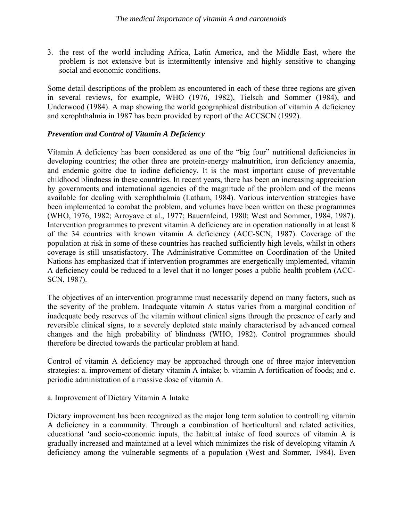3. the rest of the world including Africa, Latin America, and the Middle East, where the problem is not extensive but is intermittently intensive and highly sensitive to changing social and economic conditions.

Some detail descriptions of the problem as encountered in each of these three regions are given in several reviews, for example, WHO (1976, 1982), Tielsch and Sommer (1984), and Underwood (1984). A map showing the world geographical distribution of vitamin A deficiency and xerophthalmia in 1987 has been provided by report of the ACCSCN (1992).

# *Prevention and Control of Vitamin A Deficiency*

Vitamin A deficiency has been considered as one of the "big four" nutritional deficiencies in developing countries; the other three are protein-energy malnutrition, iron deficiency anaemia, and endemic goitre due to iodine deficiency. It is the most important cause of preventable childhood blindness in these countries. In recent years, there has been an increasing appreciation by governments and international agencies of the magnitude of the problem and of the means available for dealing with xerophthalmia (Latham, 1984). Various intervention strategies have been implemented to combat the problem, and volumes have been written on these programmes (WHO, 1976, 1982; Arroyave et al., 1977; Bauernfeind, 1980; West and Sommer, 1984, 1987). Intervention programmes to prevent vitamin A deficiency are in operation nationally in at least 8 of the 34 countries with known vitamin A deficiency (ACC-SCN, 1987). Coverage of the population at risk in some of these countries has reached sufficiently high levels, whilst in others coverage is still unsatisfactory. The Administrative Committee on Coordination of the United Nations has emphasized that if intervention programmes are energetically implemented, vitamin A deficiency could be reduced to a level that it no longer poses a public health problem (ACC-SCN, 1987).

The objectives of an intervention programme must necessarily depend on many factors, such as the severity of the problem. Inadequate vitamin A status varies from a marginal condition of inadequate body reserves of the vitamin without clinical signs through the presence of early and reversible clinical signs, to a severely depleted state mainly characterised by advanced corneal changes and the high probability of blindness (WHO, 1982). Control programmes should therefore be directed towards the particular problem at hand.

Control of vitamin A deficiency may be approached through one of three major intervention strategies: a. improvement of dietary vitamin A intake; b. vitamin A fortification of foods; and c. periodic administration of a massive dose of vitamin A.

# a. Improvement of Dietary Vitamin A Intake

Dietary improvement has been recognized as the major long term solution to controlling vitamin A deficiency in a community. Through a combination of horticultural and related activities, educational 'and socio-economic inputs, the habitual intake of food sources of vitamin A is gradually increased and maintained at a level which minimizes the risk of developing vitamin A deficiency among the vulnerable segments of a population (West and Sommer, 1984). Even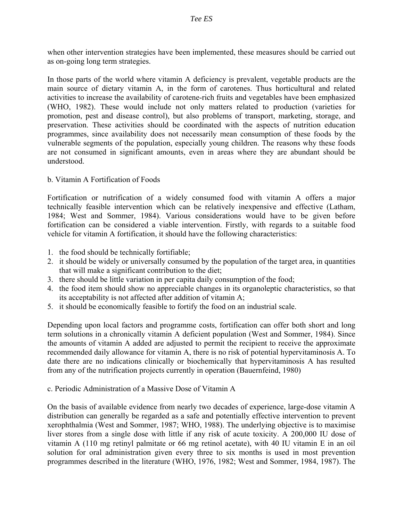when other intervention strategies have been implemented, these measures should be carried out as on-going long term strategies.

In those parts of the world where vitamin A deficiency is prevalent, vegetable products are the main source of dietary vitamin A, in the form of carotenes. Thus horticultural and related activities to increase the availability of carotene-rich fruits and vegetables have been emphasized (WHO, 1982). These would include not only matters related to production (varieties for promotion, pest and disease control), but also problems of transport, marketing, storage, and preservation. These activities should be coordinated with the aspects of nutrition education programmes, since availability does not necessarily mean consumption of these foods by the vulnerable segments of the population, especially young children. The reasons why these foods are not consumed in significant amounts, even in areas where they are abundant should be understood.

### b. Vitamin A Fortification of Foods

Fortification or nutrification of a widely consumed food with vitamin A offers a major technically feasible intervention which can be relatively inexpensive and effective (Latham, 1984; West and Sommer, 1984). Various considerations would have to be given before fortification can be considered a viable intervention. Firstly, with regards to a suitable food vehicle for vitamin A fortification, it should have the following characteristics:

- 1. the food should be technically fortifiable;
- 2. it should be widely or universally consumed by the population of the target area, in quantities that will make a significant contribution to the diet;
- 3. there should be little variation in per capita daily consumption of the food;
- 4. the food item should show no appreciable changes in its organoleptic characteristics, so that its acceptability is not affected after addition of vitamin A;
- 5. it should be economically feasible to fortify the food on an industrial scale.

Depending upon local factors and programme costs, fortification can offer both short and long term solutions in a chronically vitamin A deficient population (West and Sommer, 1984). Since the amounts of vitamin A added are adjusted to permit the recipient to receive the approximate recommended daily allowance for vitamin A, there is no risk of potential hypervitaminosis A. To date there are no indications clinically or biochemically that hypervitaminosis A has resulted from any of the nutrification projects currently in operation (Bauernfeind, 1980)

### c. Periodic Administration of a Massive Dose of Vitamin A

On the basis of available evidence from nearly two decades of experience, large-dose vitamin A distribution can generally be regarded as a safe and potentially effective intervention to prevent xerophthalmia (West and Sommer, 1987; WHO, 1988). The underlying objective is to maximise liver stores from a single dose with little if any risk of acute toxicity. A 200,000 IU dose of vitamin A (110 mg retinyl palmitate or 66 mg retinol acetate), with 40 IU vitamin E in an oil solution for oral administration given every three to six months is used in most prevention programmes described in the literature (WHO, 1976, 1982; West and Sommer, 1984, 1987). The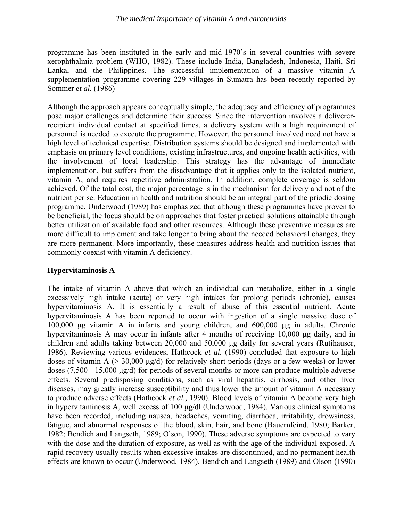programme has been instituted in the early and mid-1970's in several countries with severe xerophthalmia problem (WHO, 1982). These include India, Bangladesh, Indonesia, Haiti, Sri Lanka, and the Philippines. The successful implementation of a massive vitamin A supplementation programme covering 229 villages in Sumatra has been recently reported by Sommer *et al.* (1986)

Although the approach appears conceptually simple, the adequacy and efficiency of programmes pose major challenges and determine their success. Since the intervention involves a delivererrecipient individual contact at specified times, a delivery system with a high requirement of personnel is needed to execute the programme. However, the personnel involved need not have a high level of technical expertise. Distribution systems should be designed and implemented with emphasis on primary level conditions, existing infrastructures, and ongoing health activities, with the involvement of local leadership. This strategy has the advantage of immediate implementation, but suffers from the disadvantage that it applies only to the isolated nutrient, vitamin A, and requires repetitive administration. In addition, complete coverage is seldom achieved. Of the total cost, the major percentage is in the mechanism for delivery and not of the nutrient per se. Education in health and nutrition should be an integral part of the priodic dosing programme. Underwood (1989) has emphasized that although these programmes have proven to be beneficial, the focus should be on approaches that foster practical solutions attainable through better utilization of available food and other resources. Although these preventive measures are more difficult to implement and take longer to bring about the needed behavioral changes, they are more permanent. More importantly, these measures address health and nutrition issues that commonly coexist with vitamin A deficiency.

# **Hypervitaminosis A**

The intake of vitamin A above that which an individual can metabolize, either in a single excessively high intake (acute) or very high intakes for prolong periods (chronic), causes hypervitaminosis A. It is essentially a result of abuse of this essential nutrient. Acute hypervitaminosis A has been reported to occur with ingestion of a single massive dose of 100,000 µg vitamin A in infants and young children, and 600,000 µg in adults. Chronic hypervitaminosis A may occur in infants after 4 months of receiving 10,000 µg daily, and in children and adults taking between 20,000 and 50,000 µg daily for several years (Rutihauser, 1986). Reviewing various evidences, Hathcock *et al.* (1990) concluded that exposure to high doses of vitamin  $A$  ( $> 30,000 \mu g/d$ ) for relatively short periods (days or a few weeks) or lower doses (7,500 - 15,000  $\mu$ g/d) for periods of several months or more can produce multiple adverse effects. Several predisposing conditions, such as viral hepatitis, cirrhosis, and other liver diseases, may greatly increase susceptibility and thus lower the amount of vitamin A necessary to produce adverse effects (Hathcock *et al.,* 1990). Blood levels of vitamin A become very high in hypervitaminosis A, well excess of 100 µg/dl (Underwood, 1984). Various clinical symptoms have been recorded, including nausea, headaches, vomiting, diarrhoea, irritability, drowsiness, fatigue, and abnormal responses of the blood, skin, hair, and bone (Bauernfeind, 1980; Barker, 1982; Bendich and Langseth, 1989; Olson, 1990). These adverse symptoms are expected to vary with the dose and the duration of exposure, as well as with the age of the individual exposed. A rapid recovery usually results when excessive intakes are discontinued, and no permanent health effects are known to occur (Underwood, 1984). Bendich and Langseth (1989) and Olson (1990)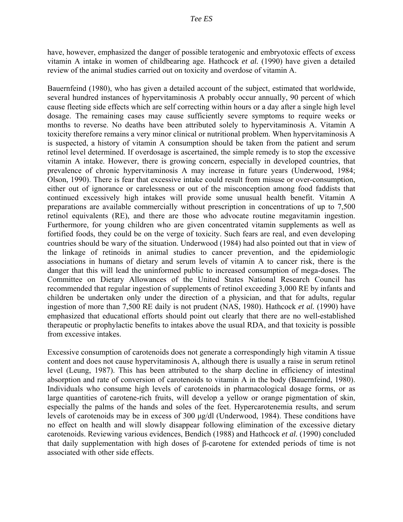have, however, emphasized the danger of possible teratogenic and embryotoxic effects of excess vitamin A intake in women of childbearing age. Hathcock *et al.* (1990) have given a detailed review of the animal studies carried out on toxicity and overdose of vitamin A.

Bauernfeind (1980), who has given a detailed account of the subject, estimated that worldwide, several hundred instances of hypervitaminosis A probably occur annually, 90 percent of which cause fleeting side effects which are self correcting within hours or a day after a single high level dosage. The remaining cases may cause sufficiently severe symptoms to require weeks or months to reverse. No deaths have been attributed solely to hypervitaminosis A. Vitamin A toxicity therefore remains a very minor clinical or nutritional problem. When hypervitaminosis A is suspected, a history of vitamin A consumption should be taken from the patient and serum retinol level determined. If overdosage is ascertained, the simple remedy is to stop the excessive vitamin A intake. However, there is growing concern, especially in developed countries, that prevalence of chronic hypervitaminosis A may increase in future years (Underwood, 1984; Olson, 1990). There is fear that excessive intake could result from misuse or over-consumption, either out of ignorance or carelessness or out of the misconception among food faddists that continued excessively high intakes will provide some unusual health benefit. Vitamin A preparations are available commercially without prescription in concentrations of up to 7,500 retinol equivalents (RE), and there are those who advocate routine megavitamin ingestion. Furthermore, for young children who are given concentrated vitamin supplements as well as fortified foods, they could be on the verge of toxicity. Such fears are real, and even developing countries should be wary of the situation. Underwood (1984) had also pointed out that in view of the linkage of retinoids in animal studies to cancer prevention, and the epidemiologic associations in humans of dietary and serum levels of vitamin A to cancer risk, there is the danger that this will lead the uninformed public to increased consumption of mega-doses. The Committee on Dietary Allowances of the United States National Research Council has recommended that regular ingestion of supplements of retinol exceeding 3,000 RE by infants and children be undertaken only under the direction of a physician, and that for adults, regular ingestion of more than 7,500 RE daily is not prudent (NAS, 1980). Hathcock *et al.* (1990) have emphasized that educational efforts should point out clearly that there are no well-established therapeutic or prophylactic benefits to intakes above the usual RDA, and that toxicity is possible from excessive intakes.

Excessive consumption of carotenoids does not generate a correspondingly high vitamin A tissue content and does not cause hypervitaminosis A, although there is usually a raise in serum retinol level (Leung, 1987). This has been attributed to the sharp decline in efficiency of intestinal absorption and rate of conversion of carotenoids to vitamin A in the body (Bauernfeind, 1980). Individuals who consume high levels of carotenoids in pharmacological dosage forms, or as large quantities of carotene-rich fruits, will develop a yellow or orange pigmentation of skin, especially the palms of the hands and soles of the feet. Hypercarotenemia results, and serum levels of carotenoids may be in excess of 300 µg/dl (Underwood, 1984). These conditions have no effect on health and will slowly disappear following elimination of the excessive dietary carotenoids. Reviewing various evidences, Bendich (1988) and Hathcock *et al.* (1990) concluded that daily supplementation with high doses of β-carotene for extended periods of time is not associated with other side effects.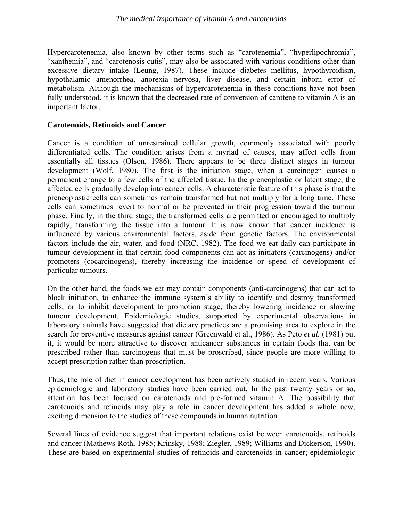Hypercarotenemia, also known by other terms such as "carotenemia", "hyperlipochromia", "xanthemia", and "carotenosis cutis", may also be associated with various conditions other than excessive dietary intake (Leung, 1987). These include diabetes mellitus, hypothyroidism, hypothalamic amenorrhea, anorexia nervosa, liver disease, and certain inborn error of metabolism. Although the mechanisms of hypercarotenemia in these conditions have not been fully understood, it is known that the decreased rate of conversion of carotene to vitamin A is an important factor.

### **Carotenoids, Retinoids and Cancer**

Cancer is a condition of unrestrained cellular growth, commonly associated with poorly differentiated cells. The condition arises from a myriad of causes, may affect cells from essentially all tissues (Olson, 1986). There appears to be three distinct stages in tumour development (Wolf, 1980). The first is the initiation stage, when a carcinogen causes a permanent change to a few cells of the affected tissue. In the preneoplastic or latent stage, the affected cells gradually develop into cancer cells. A characteristic feature of this phase is that the preneoplastic cells can sometimes remain transformed but not multiply for a long time. These cells can sometimes revert to normal or be prevented in their progression toward the tumour phase. Finally, in the third stage, the transformed cells are permitted or encouraged to multiply rapidly, transforming the tissue into a tumour. It is now known that cancer incidence is influenced by various environmental factors, aside from genetic factors. The environmental factors include the air, water, and food (NRC, 1982). The food we eat daily can participate in tumour development in that certain food components can act as initiators (carcinogens) and/or promoters (cocarcinogens), thereby increasing the incidence or speed of development of particular tumours.

On the other hand, the foods we eat may contain components (anti-carcinogens) that can act to block initiation, to enhance the immune system's ability to identify and destroy transformed cells, or to inhibit development to promotion stage, thereby lowering incidence or slowing tumour development. Epidemiologic studies, supported by experimental observations in laboratory animals have suggested that dietary practices are a promising area to explore in the search for preventive measures against cancer (Greenwald et al., 1986). As Peto *et al.* (1981) put it, it would be more attractive to discover anticancer substances in certain foods that can be prescribed rather than carcinogens that must be proscribed, since people are more willing to accept prescription rather than proscription.

Thus, the role of diet in cancer development has been actively studied in recent years. Various epidemiologic and laboratory studies have been carried out. In the past twenty years or so, attention has been focused on carotenoids and pre-formed vitamin A. The possibility that carotenoids and retinoids may play a role in cancer development has added a whole new, exciting dimension to the studies of these compounds in human nutrition.

Several lines of evidence suggest that important relations exist between carotenoids, retinoids and cancer (Mathews-Roth, 1985; Krinsky, 1988; Ziegler, 1989; Williams and Dickerson, 1990). These are based on experimental studies of retinoids and carotenoids in cancer; epidemiologic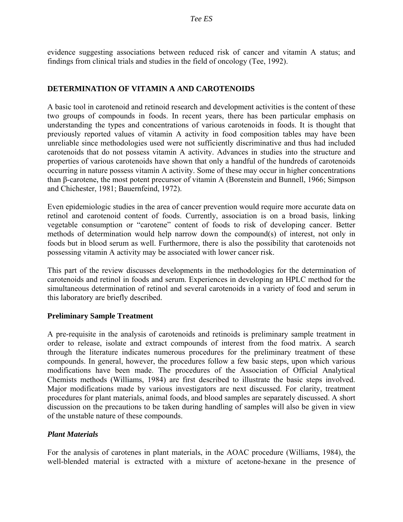evidence suggesting associations between reduced risk of cancer and vitamin A status; and findings from clinical trials and studies in the field of oncology (Tee, 1992).

### **DETERMINATION OF VITAMIN A AND CAROTENOIDS**

A basic tool in carotenoid and retinoid research and development activities is the content of these two groups of compounds in foods. In recent years, there has been particular emphasis on understanding the types and concentrations of various carotenoids in foods. It is thought that previously reported values of vitamin A activity in food composition tables may have been unreliable since methodologies used were not sufficiently discriminative and thus had included carotenoids that do not possess vitamin A activity. Advances in studies into the structure and properties of various carotenoids have shown that only a handful of the hundreds of carotenoids occurring in nature possess vitamin A activity. Some of these may occur in higher concentrations than β-carotene, the most potent precursor of vitamin A (Borenstein and Bunnell, 1966; Simpson and Chichester, 1981; Bauernfeind, 1972).

Even epidemiologic studies in the area of cancer prevention would require more accurate data on retinol and carotenoid content of foods. Currently, association is on a broad basis, linking vegetable consumption or "carotene" content of foods to risk of developing cancer. Better methods of determination would help narrow down the compound(s) of interest, not only in foods but in blood serum as well. Furthermore, there is also the possibility that carotenoids not possessing vitamin A activity may be associated with lower cancer risk.

This part of the review discusses developments in the methodologies for the determination of carotenoids and retinol in foods and serum. Experiences in developing an HPLC method for the simultaneous determination of retinol and several carotenoids in a variety of food and serum in this laboratory are briefly described.

### **Preliminary Sample Treatment**

A pre-requisite in the analysis of carotenoids and retinoids is preliminary sample treatment in order to release, isolate and extract compounds of interest from the food matrix. A search through the literature indicates numerous procedures for the preliminary treatment of these compounds. In general, however, the procedures follow a few basic steps, upon which various modifications have been made. The procedures of the Association of Official Analytical Chemists methods (Williams, 1984) are first described to illustrate the basic steps involved. Major modifications made by various investigators are next discussed. For clarity, treatment procedures for plant materials, animal foods, and blood samples are separately discussed. A short discussion on the precautions to be taken during handling of samples will also be given in view of the unstable nature of these compounds.

### *Plant Materials*

For the analysis of carotenes in plant materials, in the AOAC procedure (Williams, 1984), the well-blended material is extracted with a mixture of acetone-hexane in the presence of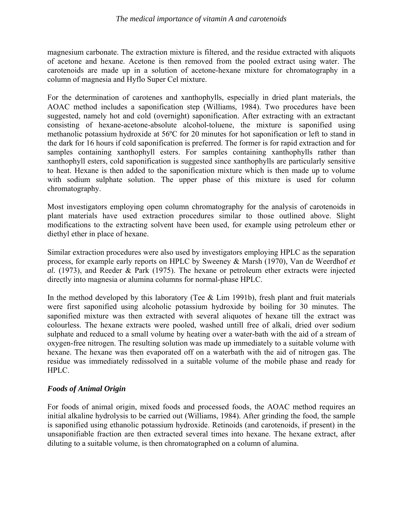magnesium carbonate. The extraction mixture is filtered, and the residue extracted with aliquots of acetone and hexane. Acetone is then removed from the pooled extract using water. The carotenoids are made up in a solution of acetone-hexane mixture for chromatography in a column of magnesia and Hyflo Super Cel mixture.

For the determination of carotenes and xanthophylls, especially in dried plant materials, the AOAC method includes a saponification step (Williams, 1984). Two procedures have been suggested, namely hot and cold (overnight) saponification. After extracting with an extractant consisting of hexane-acetone-absolute alcohol-toluene, the mixture is saponified using methanolic potassium hydroxide at 56ºC for 20 minutes for hot saponification or left to stand in the dark for 16 hours if cold saponification is preferred. The former is for rapid extraction and for samples containing xanthophyll esters. For samples containing xanthophylls rather than xanthophyll esters, cold saponification is suggested since xanthophylls are particularly sensitive to heat. Hexane is then added to the saponification mixture which is then made up to volume with sodium sulphate solution. The upper phase of this mixture is used for column chromatography.

Most investigators employing open column chromatography for the analysis of carotenoids in plant materials have used extraction procedures similar to those outlined above. Slight modifications to the extracting solvent have been used, for example using petroleum ether or diethyl ether in place of hexane.

Similar extraction procedures were also used by investigators employing HPLC as the separation process, for example early reports on HPLC by Sweeney & Marsh (1970), Van de Weerdhof *et al.* (1973), and Reeder & Park (1975). The hexane or petroleum ether extracts were injected directly into magnesia or alumina columns for normal-phase HPLC.

In the method developed by this laboratory (Tee  $& Lim 1991b$ ), fresh plant and fruit materials were first saponified using alcoholic potassium hydroxide by boiling for 30 minutes. The saponified mixture was then extracted with several aliquotes of hexane till the extract was colourless. The hexane extracts were pooled, washed untill free of alkali, dried over sodium sulphate and reduced to a small volume by heating over a water-bath with the aid of a stream of oxygen-free nitrogen. The resulting solution was made up immediately to a suitable volume with hexane. The hexane was then evaporated off on a waterbath with the aid of nitrogen gas. The residue was immediately redissolved in a suitable volume of the mobile phase and ready for HPLC.

# *Foods of Animal Origin*

For foods of animal origin, mixed foods and processed foods, the AOAC method requires an initial alkaline hydrolysis to be carried out (Williams, 1984). After grinding the food, the sample is saponified using ethanolic potassium hydroxide. Retinoids (and carotenoids, if present) in the unsaponifiable fraction are then extracted several times into hexane. The hexane extract, after diluting to a suitable volume, is then chromatographed on a column of alumina.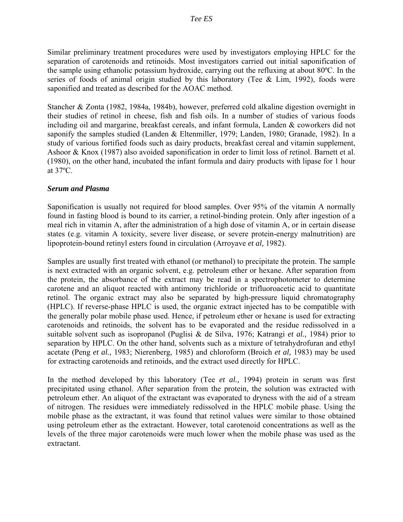Similar preliminary treatment procedures were used by investigators employing HPLC for the separation of carotenoids and retinoids. Most investigators carried out initial saponification of the sample using ethanolic potassium hydroxide, carrying out the refluxing at about 80ºC. In the series of foods of animal origin studied by this laboratory (Tee  $& Lim, 1992$ ), foods were saponified and treated as described for the AOAC method.

Stancher & Zonta (1982, 1984a, 1984b), however, preferred cold alkaline digestion overnight in their studies of retinol in cheese, fish and fish oils. In a number of studies of various foods including oil and margarine, breakfast cereals, and infant formula, Landen & coworkers did not saponify the samples studied (Landen & Eltenmiller, 1979; Landen, 1980; Granade, 1982). In a study of various fortified foods such as dairy products, breakfast cereal and vitamin supplement, Ashoor & Knox (1987) also avoided saponification in order to limit loss of retinol. Barnett et al. (1980), on the other hand, incubated the infant formula and dairy products with lipase for 1 hour at 37ºC.

### *Serum and Plasma*

Saponification is usually not required for blood samples. Over 95% of the vitamin A normally found in fasting blood is bound to its carrier, a retinol-binding protein. Only after ingestion of a meal rich in vitamin A, after the administration of a high dose of vitamin A, or in certain disease states (e.g. vitamin A toxicity, severe liver disease, or severe protein-energy malnutrition) are lipoprotein-bound retinyl esters found in circulation (Arroyave *et al,* 1982).

Samples are usually first treated with ethanol (or methanol) to precipitate the protein. The sample is next extracted with an organic solvent, e.g. petroleum ether or hexane. After separation from the protein, the absorbance of the extract may be read in a spectrophotometer to determine carotene and an aliquot reacted with antimony trichloride or trifluoroacetic acid to quantitate retinol. The organic extract may also be separated by high-pressure liquid chromatography (HPLC). If reverse-phase HPLC is used, the organic extract injected has to be compatible with the generally polar mobile phase used. Hence, if petroleum ether or hexane is used for extracting carotenoids and retinoids, the solvent has to be evaporated and the residue redissolved in a suitable solvent such as isopropanol (Puglisi & de Silva, 1976; Katrangi *et al.,* 1984) prior to separation by HPLC. On the other hand, solvents such as a mixture of tetrahydrofuran and ethyl acetate (Peng *et al.,* 1983; Nierenberg, 1985) and chloroform (Broich *et al,* 1983) may be used for extracting carotenoids and retinoids, and the extract used directly for HPLC.

In the method developed by this laboratory (Tee *et al.,* 1994) protein in serum was first precipitated using ethanol. After separation from the protein, the solution was extracted with petroleum ether. An aliquot of the extractant was evaporated to dryness with the aid of a stream of nitrogen. The residues were immediately redissolved in the HPLC mobile phase. Using the mobile phase as the extractant, it was found that retinol values were similar to those obtained using petroleum ether as the extractant. However, total carotenoid concentrations as well as the levels of the three major carotenoids were much lower when the mobile phase was used as the extractant.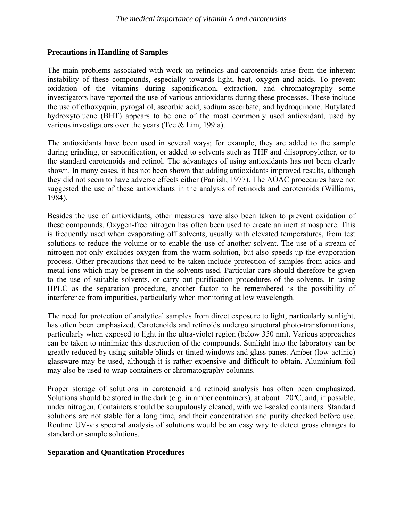### **Precautions in Handling of Samples**

The main problems associated with work on retinoids and carotenoids arise from the inherent instability of these compounds, especially towards light, heat, oxygen and acids. To prevent oxidation of the vitamins during saponification, extraction, and chromatography some investigators have reported the use of various antioxidants during these processes. These include the use of ethoxyquin, pyrogallol, ascorbic acid, sodium ascorbate, and hydroquinone. Butylated hydroxytoluene (BHT) appears to be one of the most commonly used antioxidant, used by various investigators over the years (Tee & Lim, 199la).

The antioxidants have been used in several ways; for example, they are added to the sample during grinding, or saponification, or added to solvents such as THF and diisopropylether, or to the standard carotenoids and retinol. The advantages of using antioxidants has not been clearly shown. In many cases, it has not been shown that adding antioxidants improved results, although they did not seem to have adverse effects either (Parrish, 1977). The AOAC procedures have not suggested the use of these antioxidants in the analysis of retinoids and carotenoids (Williams, 1984).

Besides the use of antioxidants, other measures have also been taken to prevent oxidation of these compounds. Oxygen-free nitrogen has often been used to create an inert atmosphere. This is frequently used when evaporating off solvents, usually with elevated temperatures, from test solutions to reduce the volume or to enable the use of another solvent. The use of a stream of nitrogen not only excludes oxygen from the warm solution, but also speeds up the evaporation process. Other precautions that need to be taken include protection of samples from acids and metal ions which may be present in the solvents used. Particular care should therefore be given to the use of suitable solvents, or carry out purification procedures of the solvents. In using HPLC as the separation procedure, another factor to be remembered is the possibility of interference from impurities, particularly when monitoring at low wavelength.

The need for protection of analytical samples from direct exposure to light, particularly sunlight, has often been emphasized. Carotenoids and retinoids undergo structural photo-transformations, particularly when exposed to light in the ultra-violet region (below 350 nm). Various approaches can be taken to minimize this destruction of the compounds. Sunlight into the laboratory can be greatly reduced by using suitable blinds or tinted windows and glass panes. Amber (low-actinic) glassware may be used, although it is rather expensive and difficult to obtain. Aluminium foil may also be used to wrap containers or chromatography columns.

Proper storage of solutions in carotenoid and retinoid analysis has often been emphasized. Solutions should be stored in the dark (e.g. in amber containers), at about –20ºC, and, if possible, under nitrogen. Containers should be scrupulously cleaned, with well-sealed containers. Standard solutions are not stable for a long time, and their concentration and purity checked before use. Routine UV-vis spectral analysis of solutions would be an easy way to detect gross changes to standard or sample solutions.

### **Separation and Quantitation Procedures**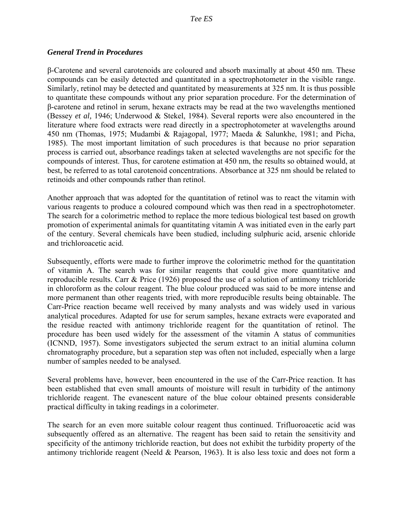### *General Trend in Procedures*

β-Carotene and several carotenoids are coloured and absorb maximally at about 450 nm. These compounds can be easily detected and quantitated in a spectrophotometer in the visible range. Similarly, retinol may be detected and quantitated by measurements at 325 nm. It is thus possible to quantitate these compounds without any prior separation procedure. For the determination of β-carotene and retinol in serum, hexane extracts may be read at the two wavelengths mentioned (Bessey *et al,* 1946; Underwood & Stekel, 1984). Several reports were also encountered in the literature where food extracts were read directly in a spectrophotometer at wavelengths around 450 nm (Thomas, 1975; Mudambi & Rajagopal, 1977; Maeda & Salunkhe, 1981; and Picha, 1985). The most important limitation of such procedures is that because no prior separation process is carried out, absorbance readings taken at selected wavelengths are not specific for the compounds of interest. Thus, for carotene estimation at 450 nm, the results so obtained would, at best, be referred to as total carotenoid concentrations. Absorbance at 325 nm should be related to retinoids and other compounds rather than retinol.

Another approach that was adopted for the quantitation of retinol was to react the vitamin with various reagents to produce a coloured compound which was then read in a spectrophotometer. The search for a colorimetric method to replace the more tedious biological test based on growth promotion of experimental animals for quantitating vitamin A was initiated even in the early part of the century. Several chemicals have been studied, including sulphuric acid, arsenic chloride and trichloroacetic acid.

Subsequently, efforts were made to further improve the colorimetric method for the quantitation of vitamin A. The search was for similar reagents that could give more quantitative and reproducible results. Carr & Price (1926) proposed the use of a solution of antimony trichloride in chloroform as the colour reagent. The blue colour produced was said to be more intense and more permanent than other reagents tried, with more reproducible results being obtainable. The Carr-Price reaction became well received by many analysts and was widely used in various analytical procedures. Adapted for use for serum samples, hexane extracts were evaporated and the residue reacted with antimony trichloride reagent for the quantitation of retinol. The procedure has been used widely for the assessment of the vitamin A status of communities (ICNND, 1957). Some investigators subjected the serum extract to an initial alumina column chromatography procedure, but a separation step was often not included, especially when a large number of samples needed to be analysed.

Several problems have, however, been encountered in the use of the Carr-Price reaction. It has been established that even small amounts of moisture will result in turbidity of the antimony trichloride reagent. The evanescent nature of the blue colour obtained presents considerable practical difficulty in taking readings in a colorimeter.

The search for an even more suitable colour reagent thus continued. Trifluoroacetic acid was subsequently offered as an alternative. The reagent has been said to retain the sensitivity and specificity of the antimony trichloride reaction, but does not exhibit the turbidity property of the antimony trichloride reagent (Neeld & Pearson, 1963). It is also less toxic and does not form a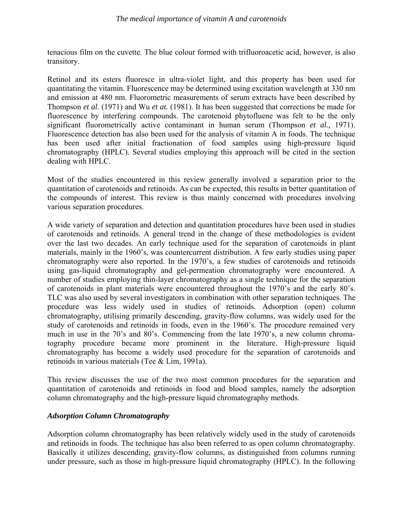tenacious film on the cuvette. The blue colour formed with trifluoroacetic acid, however, is also transitory.

Retinol and its esters fluoresce in ultra-violet light, and this property has been used for quantitating the vitamin. Fluorescence may be determined using excitation wavelength at 330 nm and emission at 480 nm. Fluorometric measurements of serum extracts have been described by Thompson *et al.* (1971) and Wu *et at.* (1981). It has been suggested that corrections be made for fluorescence by interfering compounds. The carotenoid phytofluene was felt to be the only significant fluorometrically active contaminant in human serum (Thompson *et al.,* 1971). Fluorescence detection has also been used for the analysis of vitamin A in foods. The technique has been used after initial fractionation of food samples using high-pressure liquid chromatography (HPLC). Several studies employing this approach will be cited in the section dealing with HPLC.

Most of the studies encountered in this review generally involved a separation prior to the quantitation of carotenoids and retinoids. As can be expected, this results in better quantitation of the compounds of interest. This review is thus mainly concerned with procedures involving various separation procedures.

A wide variety of separation and detection and quantitation procedures have been used in studies of carotenoids and retinoids. A general trend in the change of these methodologies is evident over the last two decades. An early technique used for the separation of carotenoids in plant materials, mainly in the 1960's, was countercurrent distribution. A few early studies using paper chromatography were also reported. In the 1970's, a few studies of carotenoids and retinoids using gas-liquid chromatography and gel-permeation chromatography were encountered. A number of studies employing thin-layer chromatography as a single technique for the separation of carotenoids in plant materials were encountered throughout the 1970's and the early 80's. TLC was also used by several investigators in combination with other separation techniques. The procedure was less widely used in studies of retinoids. Adsorption (open) column chromatography, utilising primarily descending, gravity-flow columns, was widely used for the study of carotenoids and retinoids in foods, even in the 1960's. The procedure remained very much in use in the 70's and 80's. Commencing from the late 1970's, a new column chromatography procedure became more prominent in the literature. High-pressure liquid chromatography has become a widely used procedure for the separation of carotenoids and retinoids in various materials (Tee & Lim, 1991a).

This review discusses the use of the two most common procedures for the separation and quantitation of carotenoids and retinoids in food and blood samples, namely the adsorption column chromatography and the high-pressure liquid chromatography methods.

# *Adsorption Column Chromatography*

Adsorption column chromatography has been relatively widely used in the study of carotenoids and retinoids in foods. The technique has also been referred to as open column chromatography. Basically it utilizes descending, gravity-flow columns, as distinguished from columns running under pressure, such as those in high-pressure liquid chromatography (HPLC). In the following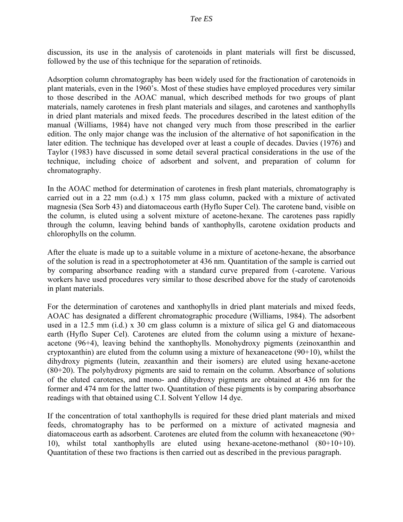discussion, its use in the analysis of carotenoids in plant materials will first be discussed, followed by the use of this technique for the separation of retinoids.

Adsorption column chromatography has been widely used for the fractionation of carotenoids in plant materials, even in the 1960's. Most of these studies have employed procedures very similar to those described in the AOAC manual, which described methods for two groups of plant materials, namely carotenes in fresh plant materials and silages, and carotenes and xanthophylls in dried plant materials and mixed feeds. The procedures described in the latest edition of the manual (Williams, 1984) have not changed very much from those prescribed in the earlier edition. The only major change was the inclusion of the alternative of hot saponification in the later edition. The technique has developed over at least a couple of decades. Davies (1976) and Taylor (1983) have discussed in some detail several practical considerations in the use of the technique, including choice of adsorbent and solvent, and preparation of column for chromatography.

In the AOAC method for determination of carotenes in fresh plant materials, chromatography is carried out in a 22 mm (o.d.) x 175 mm glass column, packed with a mixture of activated magnesia (Sea Sorb 43) and diatomaceous earth (Hyflo Super Cel). The carotene band, visible on the column, is eluted using a solvent mixture of acetone-hexane. The carotenes pass rapidly through the column, leaving behind bands of xanthophylls, carotene oxidation products and chlorophylls on the column.

After the eluate is made up to a suitable volume in a mixture of acetone-hexane, the absorbance of the solution is read in a spectrophotometer at 436 nm. Quantitation of the sample is carried out by comparing absorbance reading with a standard curve prepared from (-carotene. Various workers have used procedures very similar to those described above for the study of carotenoids in plant materials.

For the determination of carotenes and xanthophylls in dried plant materials and mixed feeds, AOAC has designated a different chromatographic procedure (Williams, 1984). The adsorbent used in a 12.5 mm (i.d.) x 30 cm glass column is a mixture of silica gel G and diatomaceous earth (Hyflo Super Cel). Carotenes are eluted from the column using a mixture of hexaneacetone (96+4), leaving behind the xanthophylls. Monohydroxy pigments (zeinoxanthin and cryptoxanthin) are eluted from the column using a mixture of hexaneacetone  $(90+10)$ , whilst the dihydroxy pigments (lutein, zeaxanthin and their isomers) are eluted using hexane-acetone (80+20). The polyhydroxy pigments are said to remain on the column. Absorbance of solutions of the eluted carotenes, and mono- and dihydroxy pigments are obtained at 436 nm for the former and 474 nm for the latter two. Quantitation of these pigments is by comparing absorbance readings with that obtained using C.I. Solvent Yellow 14 dye.

If the concentration of total xanthophylls is required for these dried plant materials and mixed feeds, chromatography has to be performed on a mixture of activated magnesia and diatomaceous earth as adsorbent. Carotenes are eluted from the column with hexaneacetone (90+ 10), whilst total xanthophylls are eluted using hexane-acetone-methanol (80+10+10). Quantitation of these two fractions is then carried out as described in the previous paragraph.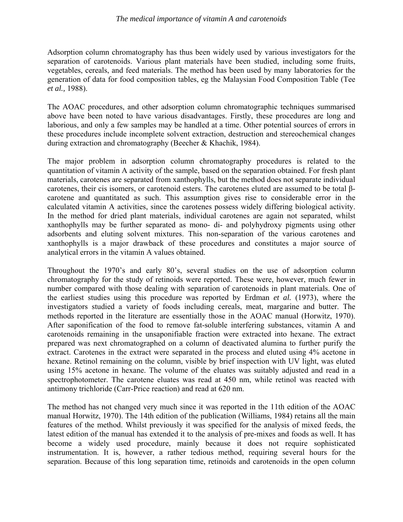#### *The medical importance of vitamin A and carotenoids*

Adsorption column chromatography has thus been widely used by various investigators for the separation of carotenoids. Various plant materials have been studied, including some fruits, vegetables, cereals, and feed materials. The method has been used by many laboratories for the generation of data for food composition tables, eg the Malaysian Food Composition Table (Tee *et al.,* 1988).

The AOAC procedures, and other adsorption column chromatographic techniques summarised above have been noted to have various disadvantages. Firstly, these procedures are long and laborious, and only a few samples may be handled at a time. Other potential sources of errors in these procedures include incomplete solvent extraction, destruction and stereochemical changes during extraction and chromatography (Beecher & Khachik, 1984).

The major problem in adsorption column chromatography procedures is related to the quantitation of vitamin A activity of the sample, based on the separation obtained. For fresh plant materials, carotenes are separated from xanthophylls, but the method does not separate individual carotenes, their cis isomers, or carotenoid esters. The carotenes eluted are assumed to be total βcarotene and quantitated as such. This assumption gives rise to considerable error in the calculated vitamin A activities, since the carotenes possess widely differing biological activity. In the method for dried plant materials, individual carotenes are again not separated, whilst xanthophylls may be further separated as mono- di- and polyhydroxy pigments using other adsorbents and eluting solvent mixtures. This non-separation of the various carotenes and xanthophylls is a major drawback of these procedures and constitutes a major source of analytical errors in the vitamin A values obtained.

Throughout the 1970's and early 80's, several studies on the use of adsorption column chromatography for the study of retinoids were reported. These were, however, much fewer in number compared with those dealing with separation of carotenoids in plant materials. One of the earliest studies using this procedure was reported by Erdman *et al.* (1973), where the investigators studied a variety of foods including cereals, meat, margarine and butter. The methods reported in the literature are essentially those in the AOAC manual (Horwitz, 1970). After saponification of the food to remove fat-soluble interfering substances, vitamin A and carotenoids remaining in the unsaponifiable fraction were extracted into hexane. The extract prepared was next chromatographed on a column of deactivated alumina to further purify the extract. Carotenes in the extract were separated in the process and eluted using 4% acetone in hexane. Retinol remaining on the column, visible by brief inspection with UV light, was eluted using 15% acetone in hexane. The volume of the eluates was suitably adjusted and read in a spectrophotometer. The carotene eluates was read at 450 nm, while retinol was reacted with antimony trichloride (Carr-Price reaction) and read at 620 nm.

The method has not changed very much since it was reported in the 11th edition of the AOAC manual Horwitz, 1970). The 14th edition of the publication (Williams, 1984) retains all the main features of the method. Whilst previously it was specified for the analysis of mixed feeds, the latest edition of the manual has extended it to the analysis of pre-mixes and foods as well. It has become a widely used procedure, mainly because it does not require sophisticated instrumentation. It is, however, a rather tedious method, requiring several hours for the separation. Because of this long separation time, retinoids and carotenoids in the open column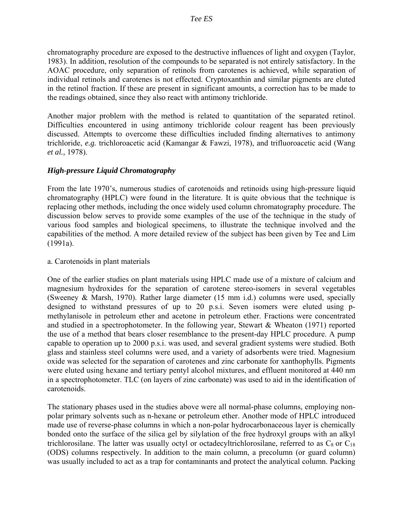chromatography procedure are exposed to the destructive influences of light and oxygen (Taylor, 1983). In addition, resolution of the compounds to be separated is not entirely satisfactory. In the AOAC procedure, only separation of retinols from carotenes is achieved, while separation of individual retinols and carotenes is not effected. Cryptoxanthin and similar pigments are eluted in the retinol fraction. If these are present in significant amounts, a correction has to be made to the readings obtained, since they also react with antimony trichloride.

Another major problem with the method is related to quantitation of the separated retinol. Difficulties encountered in using antimony trichloride colour reagent has been previously discussed. Attempts to overcome these difficulties included finding alternatives to antimony trichloride, *e.g.* trichloroacetic acid (Kamangar & Fawzi, 1978), and trifluoroacetic acid (Wang *et al.,* 1978).

# *High-pressure Liquid Chromatography*

From the late 1970's, numerous studies of carotenoids and retinoids using high-pressure liquid chromatography (HPLC) were found in the literature. It is quite obvious that the technique is replacing other methods, including the once widely used column chromatography procedure. The discussion below serves to provide some examples of the use of the technique in the study of various food samples and biological specimens, to illustrate the technique involved and the capabilities of the method. A more detailed review of the subject has been given by Tee and Lim (1991a).

### a. Carotenoids in plant materials

One of the earlier studies on plant materials using HPLC made use of a mixture of calcium and magnesium hydroxides for the separation of carotene stereo-isomers in several vegetables (Sweeney & Marsh, 1970). Rather large diameter (15 mm i.d.) columns were used, specially designed to withstand pressures of up to 20 p.s.i. Seven isomers were eluted using pmethylanisole in petroleum ether and acetone in petroleum ether. Fractions were concentrated and studied in a spectrophotometer. In the following year, Stewart  $&$  Wheaton (1971) reported the use of a method that bears closer resemblance to the present-day HPLC procedure. A pump capable to operation up to 2000 p.s.i. was used, and several gradient systems were studied. Both glass and stainless steel columns were used, and a variety of adsorbents were tried. Magnesium oxide was selected for the separation of carotenes and zinc carbonate for xanthophylls. Pigments were eluted using hexane and tertiary pentyl alcohol mixtures, and effluent monitored at 440 nm in a spectrophotometer. TLC (on layers of zinc carbonate) was used to aid in the identification of carotenoids.

The stationary phases used in the studies above were all normal-phase columns, employing nonpolar primary solvents such as n-hexane or petroleum ether. Another mode of HPLC introduced made use of reverse-phase columns in which a non-polar hydrocarbonaceous layer is chemically bonded onto the surface of the silica gel by silylation of the free hydroxyl groups with an alkyl trichlorosilane. The latter was usually octyl or octadecyltrichlorosilane, referred to as  $C_8$  or  $C_{18}$ (ODS) columns respectively. In addition to the main column, a precolumn (or guard column) was usually included to act as a trap for contaminants and protect the analytical column. Packing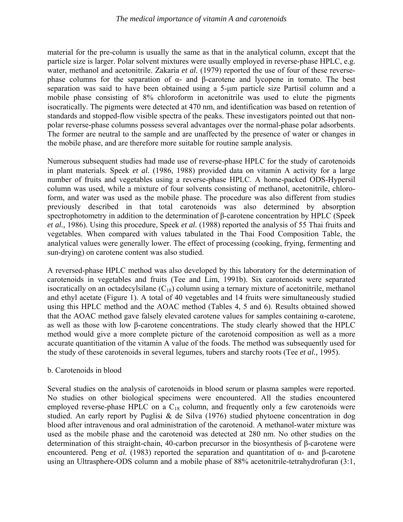material for the pre-column is usually the same as that in the analytical column, except that the particle size is larger. Polar solvent mixtures were usually employed in reverse-phase HPLC, e.g. water, methanol and acetonitrile. Zakaria *et al.* (1979) reported the use of four of these reversephase columns for the separation of α*-* and β-carotene and lycopene in tomato. The best separation was said to have been obtained using a 5-µm particle size Partisil column and a mobile phase consisting of 8% chloroform in acetonitrile was used to elute the pigments isocratically. The pigments were detected at 470 nm, and identification was based on retention of standards and stopped-flow visible spectra of the peaks. These investigators pointed out that nonpolar reverse-phase columns possess several advantages over the normal-phase polar adsorbents. The former are neutral to the sample and are unaffected by the presence of water or changes in the mobile phase, and are therefore more suitable for routine sample analysis.

Numerous subsequent studies had made use of reverse-phase HPLC for the study of carotenoids in plant materials. Speek *et al.* (1986, 1988) provided data on vitamin A activity for a large number of fruits and vegetables using a reverse-phase HPLC. A home-packed ODS-Hypersil column was used, while a mixture of four solvents consisting of methanol, acetonitrile, chloroform, and water was used as the mobile phase. The procedure was also different from studies previously described in that total carotenoids was also determined by absorption spectrophotometry in addition to the determination of β-carotene concentration by HPLC (Speek *et al.,* 1986). Using this procedure, Speek *et al.* (1988) reported the analysis of 55 Thai fruits and vegetables. When compared with values tabulated in the Thai Food Composition Table, the analytical values were generally lower. The effect of processing (cooking, frying, fermenting and sun-drying) on carotene content was also studied.

A reversed-phase HPLC method was also developed by this laboratory for the determination of carotenoids in vegetables and fruits (Tee and Lim, 1991b). Six carotenoids were separated isocratically on an octadecylsilane  $(C_{18})$  column using a ternary mixture of acetonitrile, methanol and ethyl acetate (Figure 1). A total of 40 vegetables and 14 fruits were simultaneously studied using this HPLC method and the AOAC method (Tables 4, 5 and 6). Results obtained showed that the AOAC method gave falsely elevated carotene values for samples containing α-carotene, as well as those with low β-carotene concentrations. The study clearly showed that the HPLC method would give a more complete picture of the carotenoid composition as well as a more accurate quantitiation of the vitamin A value of the foods. The method was subsequently used for the study of these carotenoids in several legumes, tubers and starchy roots (Tee *et al.,* 1995).

# b. Carotenoids in blood

Several studies on the analysis of carotenoids in blood serum or plasma samples were reported. No studies on other biological specimens were encountered. All the studies encountered employed reverse-phase HPLC on a  $C_{18}$  column, and frequently only a few carotenoids were studied. An early report by Puglisi & de Silva (1976) studied phytoene concentration in dog blood after intravenous and oral administration of the carotenoid. A methanol-water mixture was used as the mobile phase and the carotenoid was detected at 280 nm. No other studies on the determination of this straight-chain, 40-carbon precursor in the biosynthesis of β-carotene were encountered. Peng *et al.* (1983) reported the separation and quantitation of α- and β-carotene using an Ultrasphere-ODS column and a mobile phase of 88% acetonitrile-tetrahydrofuran (3:1,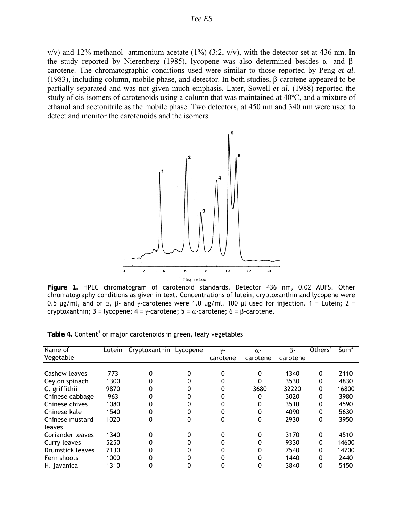$v/v$ ) and 12% methanol- ammonium acetate (1%) (3:2,  $v/v$ ), with the detector set at 436 nm. In the study reported by Nierenberg (1985), lycopene was also determined besides  $α$ - and  $β$ carotene. The chromatographic conditions used were similar to those reported by Peng *et al.*  (1983), including column, mobile phase, and detector. In both studies, β-carotene appeared to be partially separated and was not given much emphasis. Later, Sowell *et al.* (1988) reported the study of cis-isomers of carotenoids using a column that was maintained at 40ºC, and a mixture of ethanol and acetonitrile as the mobile phase. Two detectors, at 450 nm and 340 nm were used to detect and monitor the carotenoids and the isomers.



**Figure 1.** HPLC chromatogram of carotenoid standards. Detector 436 nm, 0.02 AUFS. Other chromatography conditions as given in text. Concentrations of lutein, cryptoxanthin and lycopene were 0.5 μg/ml, and of α, β- and γ-carotenes were 1.0 μg/ml. 100 μl used for injection. 1 = Lutein; 2 = cryptoxanthin; 3 = lycopene; 4 =  $\gamma$ -carotene; 5 =  $\alpha$ -carotene; 6 =  $\beta$ -carotene.

| Name of                 | Lutein | Cryptoxanthin | Lycopene | $\gamma$ - | $\alpha$ - | ß-       | Others <sup>2</sup> | Sum <sup>3</sup> |
|-------------------------|--------|---------------|----------|------------|------------|----------|---------------------|------------------|
| Vegetable               |        |               |          | carotene   | carotene   | carotene |                     |                  |
|                         |        |               |          |            |            |          |                     |                  |
| Cashew leaves           | 773    |               |          |            | 0          | 1340     | 0                   | 2110             |
| Ceylon spinach          | 1300   |               |          |            | 0          | 3530     | 0                   | 4830             |
| C. griffithii           | 9870   |               |          |            | 3680       | 32220    | 0                   | 16800            |
| Chinese cabbage         | 963    |               |          |            | 0          | 3020     | 0                   | 3980             |
| Chinese chives          | 1080   |               |          |            |            | 3510     | 0                   | 4590             |
| Chinese kale            | 1540   |               |          |            | 0          | 4090     | 0                   | 5630             |
| Chinese mustard         | 1020   |               |          | 0          | 0          | 2930     | 0                   | 3950             |
| leaves                  |        |               |          |            |            |          |                     |                  |
| Coriander leaves        | 1340   |               |          |            |            | 3170     | 0                   | 4510             |
| Curry leaves            | 5250   |               |          |            |            | 9330     | 0                   | 14600            |
| <b>Drumstick leaves</b> | 7130   |               |          |            |            | 7540     | 0                   | 14700            |
| Fern shoots             | 1000   |               |          |            |            | 1440     |                     | 2440             |
| H. javanica             | 1310   |               |          |            |            | 3840     | 0                   | 5150             |

Table 4. Content<sup>1</sup> of major carotenoids in green, leafy vegetables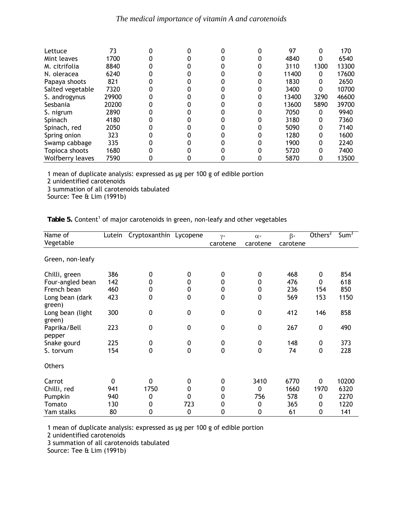### *The medical importance of vitamin A and carotenoids*

| Lettuce          | 73    |  |  | 97    | 0    | 170   |
|------------------|-------|--|--|-------|------|-------|
| Mint leaves      | 1700  |  |  | 4840  | 0    | 6540  |
| M. citrifolia    | 8840  |  |  | 3110  | 1300 | 13300 |
| N. oleracea      | 6240  |  |  | 11400 | 0    | 17600 |
| Papaya shoots    | 821   |  |  | 1830  | 0    | 2650  |
| Salted vegetable | 7320  |  |  | 3400  |      | 10700 |
| S. androgynus    | 29900 |  |  | 13400 | 3290 | 46600 |
| Sesbania         | 20200 |  |  | 13600 | 5890 | 39700 |
| S. nigrum        | 2890  |  |  | 7050  | 0    | 9940  |
| Spinach          | 4180  |  |  | 3180  | 0    | 7360  |
| Spinach, red     | 2050  |  |  | 5090  |      | 7140  |
| Spring onion     | 323   |  |  | 1280  | 0    | 1600  |
| Swamp cabbage    | 335   |  |  | 1900  |      | 2240  |
| Topioca shoots   | 1680  |  |  | 5720  | 0    | 7400  |
| Wolfberry leaves | 7590  |  |  | 5870  | 0    | 13500 |

1 mean of duplicate analysis: expressed as µg per 100 g of edible portion

2 unidentified carotenoids

3 summation of all carotenoids tabulated

Source: Tee & Lim (1991b)

Table 5. Content<sup>1</sup> of major carotenoids in green, non-leafy and other vegetables

| Name of          | Lutein | Cryptoxanthin Lycopene |             | $\gamma$ -  | $\alpha$ - | $\beta$ - | Others <sup>2</sup> | Sum <sup>3</sup> |
|------------------|--------|------------------------|-------------|-------------|------------|-----------|---------------------|------------------|
| Vegetable        |        |                        |             | carotene    | carotene   | carotene  |                     |                  |
| Green, non-leafy |        |                        |             |             |            |           |                     |                  |
| Chilli, green    | 386    | 0                      | 0           | 0           | 0          | 468       | 0                   | 854              |
| Four-angled bean | 142    | 0                      | 0           | $\pmb{0}$   | 0          | 476       | 0                   | 618              |
| French bean      | 460    | 0                      | 0           | $\pmb{0}$   | 0          | 236       | 154                 | 850              |
| Long bean (dark  | 423    | 0                      | 0           | $\mathbf 0$ | 0          | 569       | 153                 | 1150             |
| green)           |        |                        |             |             |            |           |                     |                  |
| Long bean (light | 300    | 0                      | $\pmb{0}$   | $\mathbf 0$ | 0          | 412       | 146                 | 858              |
| green)           |        |                        |             |             |            |           |                     |                  |
| Paprika/Bell     | 223    | 0                      | $\pmb{0}$   | $\pmb{0}$   | 0          | 267       | 0                   | 490              |
| pepper           |        |                        |             |             |            |           |                     |                  |
| Snake gourd      | 225    | 0                      | $\mathbf 0$ | $\mathbf 0$ | 0          | 148       | 0                   | 373              |
| S. torvum        | 154    | $\mathbf 0$            | 0           | $\mathbf 0$ | 0          | 74        | $\mathbf 0$         | 228              |
| Others           |        |                        |             |             |            |           |                     |                  |
| Carrot           | 0      | 0                      | 0           | 0           | 3410       | 6770      | 0                   | 10200            |
| Chilli, red      | 941    | 1750                   | 0           | $\mathbf 0$ | 0          | 1660      | 1970                | 6320             |
| Pumpkin          | 940    | $\mathbf{0}$           | 0           | $\mathbf 0$ | 756        | 578       | $\mathbf{0}$        | 2270             |
| Tomato           | 130    | 0                      | 723         | 0           | 0          | 365       | 0                   | 1220             |
| Yam stalks       | 80     | 0                      | 0           | 0           | 0          | 61        | 0                   | 141              |

1 mean of duplicate analysis: expressed as µg per 100 g of edible portion

2 unidentified carotenoids

3 summation of all carotenoids tabulated

Source: Tee & Lim (1991b)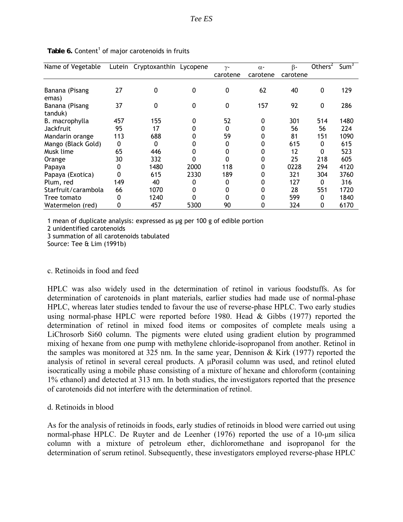| Name of Vegetable         |              | Lutein Cryptoxanthin Lycopene |          | $\gamma$ -   | $\alpha$ - | $\beta$ - | Others <sup>2</sup> | Sum <sup>3</sup> |
|---------------------------|--------------|-------------------------------|----------|--------------|------------|-----------|---------------------|------------------|
|                           |              |                               |          | carotene     | carotene   | carotene  |                     |                  |
| Banana (Pisang<br>emas)   | 27           | 0                             | 0        | 0            | 62         | 40        | 0                   | 129              |
| Banana (Pisang<br>tanduk) | 37           | 0                             | $\Omega$ | $\mathbf{0}$ | 157        | 92        | 0                   | 286              |
| B. macrophylla            | 457          | 155                           | 0        | 52           | 0          | 301       | 514                 | 1480             |
| Jackfruit                 | 95           | 17                            |          | 0            | 0          | 56        | 56                  | 224              |
| Mandarin orange           | 113          | 688                           |          | 59           | 0          | 81        | 151                 | 1090             |
| Mango (Black Gold)        | $\mathbf{0}$ | 0                             |          | 0            |            | 615       | 0                   | 615              |
| Musk lime                 | 65           | 446                           |          |              |            | 12        | 0                   | 523              |
| Orange                    | 30           | 332                           |          |              |            | 25        | 218                 | 605              |
| Papaya                    | 0            | 1480                          | 2000     | 118          |            | 0228      | 294                 | 4120             |
| Papaya (Exotica)          | O            | 615                           | 2330     | 189          |            | 321       | 304                 | 3760             |
| Plum, red                 | 149          | 40                            | 0        | 0            |            | 127       | $\Omega$            | 316              |
| Starfruit/carambola       | 66           | 1070                          | 0        |              |            | 28        | 551                 | 1720             |
| Tree tomato               | 0            | 1240                          |          |              |            | 599       | $\Omega$            | 1840             |
| Watermelon (red)          | 0            | 457                           | 5300     | 90           | 0          | 324       | 0                   | 6170             |

Table 6. Content<sup>1</sup> of major carotenoids in fruits

1 mean of duplicate analysis: expressed as µg per 100 g of edible portion

2 unidentified carotenoids

3 summation of all carotenoids tabulated

Source: Tee & Lim (1991b)

### c. Retinoids in food and feed

HPLC was also widely used in the determination of retinol in various foodstuffs. As for determination of carotenoids in plant materials, earlier studies had made use of normal-phase HPLC, whereas later studies tended to favour the use of reverse-phase HPLC. Two early studies using normal-phase HPLC were reported before 1980. Head & Gibbs (1977) reported the determination of retinol in mixed food items or composites of complete meals using a LiChrosorb Si60 column. The pigments were eluted using gradient elution by programmed mixing of hexane from one pump with methylene chloride-isopropanol from another. Retinol in the samples was monitored at 325 nm. In the same year, Dennison & Kirk (1977) reported the analysis of retinol in several cereal products. A µPorasil column was used, and retinol eluted isocratically using a mobile phase consisting of a mixture of hexane and chloroform (containing 1% ethanol) and detected at 313 nm. In both studies, the investigators reported that the presence of carotenoids did not interfere with the determination of retinol.

### d. Retinoids in blood

As for the analysis of retinoids in foods, early studies of retinoids in blood were carried out using normal-phase HPLC. De Ruyter and de Leenher (1976) reported the use of a 10-um silica column with a mixture of petroleum ether, dichloromethane and isopropanol for the determination of serum retinol. Subsequently, these investigators employed reverse-phase HPLC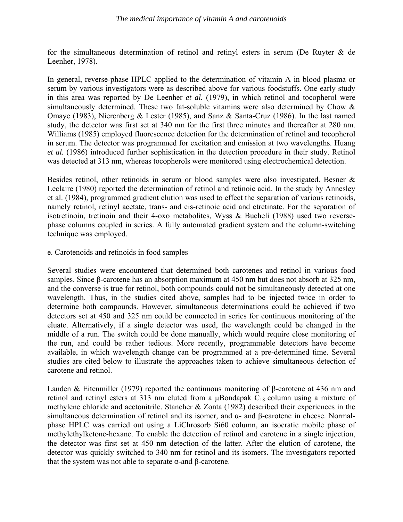for the simultaneous determination of retinol and retinyl esters in serum (De Ruyter & de Leenher, 1978).

In general, reverse-phase HPLC applied to the determination of vitamin A in blood plasma or serum by various investigators were as described above for various foodstuffs. One early study in this area was reported by De Leenher *et al.* (1979), in which retinol and tocopherol were simultaneously determined. These two fat-soluble vitamins were also determined by Chow & Omaye (1983), Nierenberg & Lester (1985), and Sanz & Santa-Cruz (1986). In the last named study, the detector was first set at 340 nm for the first three minutes and thereafter at 280 nm. Williams (1985) employed fluorescence detection for the determination of retinol and tocopherol in serum. The detector was programmed for excitation and emission at two wavelengths. Huang *et al.* (1986) introduced further sophistication in the detection procedure in their study. Retinol was detected at 313 nm, whereas tocopherols were monitored using electrochemical detection.

Besides retinol, other retinoids in serum or blood samples were also investigated. Besner & Leclaire (1980) reported the determination of retinol and retinoic acid. In the study by Annesley et al. (1984), programmed gradient elution was used to effect the separation of various retinoids, namely retinol, retinyl acetate, trans- and cis-retinoic acid and etretinate. For the separation of isotretinoin, tretinoin and their 4-oxo metabolites, Wyss & Bucheli (1988) used two reversephase columns coupled in series. A fully automated gradient system and the column-switching technique was employed.

e. Carotenoids and retinoids in food samples

Several studies were encountered that determined both carotenes and retinol in various food samples. Since β-carotene has an absorption maximum at 450 nm but does not absorb at 325 nm, and the converse is true for retinol, both compounds could not be simultaneously detected at one wavelength. Thus, in the studies cited above, samples had to be injected twice in order to determine both compounds. However, simultaneous determinations could be achieved if two detectors set at 450 and 325 nm could be connected in series for continuous monitoring of the eluate. Alternatively, if a single detector was used, the wavelength could be changed in the middle of a run. The switch could be done manually, which would require close monitoring of the run, and could be rather tedious. More recently, programmable detectors have become available, in which wavelength change can be programmed at a pre-determined time. Several studies are cited below to illustrate the approaches taken to achieve simultaneous detection of carotene and retinol.

Landen & Eitenmiller (1979) reported the continuous monitoring of β-carotene at 436 nm and retinol and retinyl esters at 313 nm eluted from a  $\mu$ Bondapak C<sub>18</sub> column using a mixture of methylene chloride and acetonitrile. Stancher & Zonta (1982) described their experiences in the simultaneous determination of retinol and its isomer, and  $α$ - and β-carotene in cheese. Normalphase HPLC was carried out using a LiChrosorb Si60 column, an isocratic mobile phase of methylethylketone-hexane. To enable the detection of retinol and carotene in a single injection, the detector was first set at 450 nm detection of the latter. After the elution of carotene, the detector was quickly switched to 340 nm for retinol and its isomers. The investigators reported that the system was not able to separate  $α$ -and  $β$ -carotene.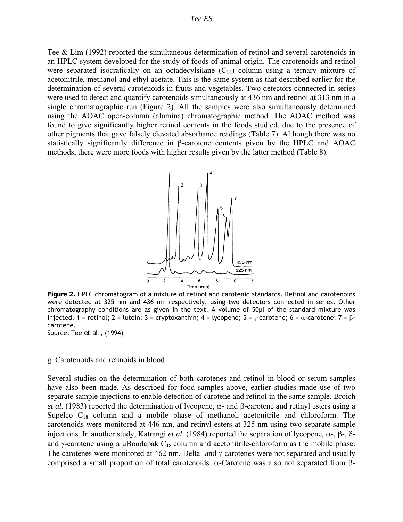*Tee ES* 

Tee & Lim (1992) reported the simultaneous determination of retinol and several carotenoids in an HPLC system developed for the study of foods of animal origin. The carotenoids and retinol were separated isocratically on an octadecylsilane  $(C_{18})$  column using a ternary mixture of acetonitrile, methanol and ethyl acetate. This is the same system as that described earlier for the determination of several carotenoids in fruits and vegetables. Two detectors connected in series were used to detect and quantify carotenoids simultaneously at 436 nm and retinol at 313 nm in a single chromatographic run (Figure 2). All the samples were also simultaneously determined using the AOAC open-column (alumina) chromatographic method. The AOAC method was found to give significantly higher retinol contents in the foods studied, due to the presence of other pigments that gave falsely elevated absorbance readings (Table 7). Although there was no statistically significantly difference in β-carotene contents given by the HPLC and AOAC methods, there were more foods with higher results given by the latter method (Table 8).



**Figure 2.** HPLC chromatogram of a mixture of retinol and carotenid standards. Retinol and carotenoids were detected at 325 nm and 436 nm respectively, using two detectors connected in series. Other chromatography conditions are as given in the text. A volume of 50µl of the standard mixture was injected. 1 = retinol; 2 = lutein; 3 = cryptoxanthin; 4 = lycopene; 5 =  $\gamma$ -carotene; 6 =  $\alpha$ -carotene; 7 =  $\beta$ carotene.

Source: Tee *et al.*, (1994)

#### g. Carotenoids and retinoids in blood

Several studies on the determination of both carotenes and retinol in blood or serum samples have also been made. As described for food samples above, earlier studies made use of two separate sample injections to enable detection of carotene and retinol in the same sample. Broich *et al.* (1983) reported the determination of lycopene,  $\alpha$ - and β-carotene and retinyl esters using a Supelco C<sub>18</sub> column and a mobile phase of methanol, acetonitrile and chloroform. The carotenoids were monitored at 446 nm, and retinyl esters at 325 nm using two separate sample injections. In another study, Katrangi *et al.* (1984) reported the separation of lycopene, α-, β-, δand  $\gamma$ -carotene using a µBondapak C<sub>18</sub> column and acetonitrile-chloroform as the mobile phase. The carotenes were monitored at 462 nm. Delta- and γ-carotenes were not separated and usually comprised a small proportion of total carotenoids. α-Carotene was also not separated from β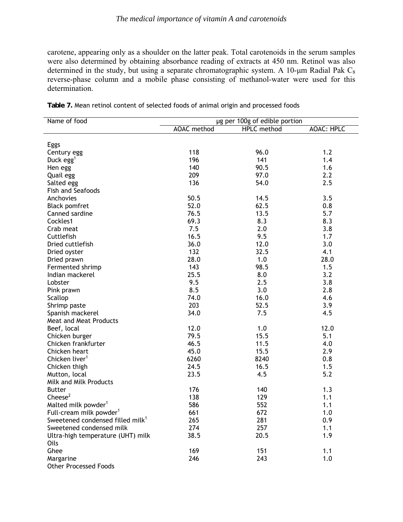carotene, appearing only as a shoulder on the latter peak. Total carotenoids in the serum samples were also determined by obtaining absorbance reading of extracts at 450 nm. Retinol was also determined in the study, but using a separate chromatographic system. A 10-µm Radial Pak  $C_8$ reverse-phase column and a mobile phase consisting of methanol-water were used for this determination.

|  | Table 7. Mean retinol content of selected foods of animal origin and processed foods |  |  |  |  |  |  |  |
|--|--------------------------------------------------------------------------------------|--|--|--|--|--|--|--|
|--|--------------------------------------------------------------------------------------|--|--|--|--|--|--|--|

| Name of food                                 |                    | µg per 100g of edible portion |                   |
|----------------------------------------------|--------------------|-------------------------------|-------------------|
|                                              | <b>AOAC</b> method | <b>HPLC</b> method            | <b>AOAC: HPLC</b> |
|                                              |                    |                               |                   |
| Eggs                                         |                    |                               |                   |
| Century egg                                  | 118                | 96.0                          | 1.2               |
| Duck $egg1$                                  | 196                | 141                           | 1.4               |
| Hen egg                                      | 140                | 90.5                          | 1.6               |
| Quail egg                                    | 209                | 97.0                          | 2.2               |
| Salted egg                                   | 136                | 54.0                          | 2.5               |
| <b>Fish and Seafoods</b>                     |                    |                               |                   |
| Anchovies                                    | 50.5               | 14.5                          | 3.5               |
| <b>Black pomfret</b>                         | 52.0               | 62.5                          | 0.8               |
| Canned sardine                               | 76.5               | 13.5                          | 5.7               |
| Cockles1                                     | 69.3               | 8.3                           | 8.3               |
| Crab meat                                    | 7.5                | 2.0                           | 3.8               |
| Cuttlefish                                   | 16.5               | 9.5                           | 1.7               |
| Dried cuttlefish                             | 36.0               | 12.0                          | 3.0               |
| Dried oyster                                 | 132                | 32.5                          | 4.1               |
| Dried prawn                                  | 28.0               | 1.0                           | 28.0              |
| Fermented shrimp                             | 143                | 98.5                          | 1.5               |
| Indian mackerel                              | 25.5               | 8.0                           | 3.2               |
| Lobster                                      | 9.5                | 2.5                           | 3.8               |
| Pink prawn                                   | 8.5                | 3.0                           | 2.8               |
| Scallop                                      | 74.0               | 16.0                          | 4.6               |
| Shrimp paste                                 | 203                | 52.5                          | 3.9               |
| Spanish mackerel                             | 34.0               | 7.5                           | 4.5               |
| <b>Meat and Meat Products</b>                |                    |                               |                   |
| Beef, local                                  | 12.0               | 1.0                           | 12.0              |
| Chicken burger                               | 79.5               | 15.5                          | 5.1               |
| Chicken frankfurter                          | 46.5               | 11.5                          | 4.0               |
| Chicken heart                                | 45.0               | 15.5                          | 2.9               |
| Chicken liver <sup>1</sup>                   | 6260               | 8240                          | 0.8               |
| Chicken thigh                                | 24.5               | 16.5                          | 1.5               |
| Mutton, local                                | 23.5               | 4.5                           | 5.2               |
| Milk and Milk Products                       |                    |                               |                   |
| <b>Butter</b>                                | 176                | 140                           | 1.3               |
| Cheese $2$                                   | 138                | 129                           | 1.1               |
| Malted milk powder <sup>1</sup>              | 586                | 552                           | 1.1               |
| Full-cream milk powder $1$                   | 661                | 672                           | 1.0               |
| Sweetened condensed filled milk <sup>1</sup> | 265                | 281                           | 0.9               |
| Sweetened condensed milk                     | 274                | 257                           | 1.1               |
| Ultra-high temperature (UHT) milk            | 38.5               | 20.5                          | 1.9               |
| Oils                                         |                    |                               |                   |
| Ghee                                         | 169                | 151                           | 1.1               |
| Margarine                                    | 246                | 243                           | 1.0               |
| <b>Other Processed Foods</b>                 |                    |                               |                   |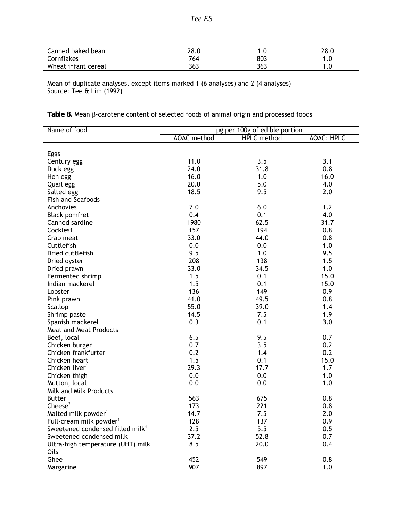| Canned baked bean   | 28.0 | 1.0 | 28.0 |
|---------------------|------|-----|------|
| Cornflakes          | 764  | 803 |      |
| Wheat infant cereal | 363  | 363 |      |

Mean of duplicate analyses, except items marked 1 (6 analyses) and 2 (4 analyses) Source: Tee & Lim (1992)

**Table 8.** Mean β-carotene content of selected foods of animal origin and processed foods

| µg per 100g of edible portion<br><b>AOAC: HPLC</b><br><b>AOAC</b> method<br>HPLC method<br>Eggs<br>11.0<br>3.5<br>3.1<br>Century egg<br>24.0<br>31.8<br>0.8<br>Duck $egg1$<br>16.0<br>16.0<br>1.0<br>Hen egg<br>$5.0$<br>20.0<br>4.0<br>Quail egg<br>18.5<br>9.5<br>2.0<br>Salted egg<br>Fish and Seafoods<br>7.0<br>6.0<br>1.2<br>Anchovies<br>0.4<br>4.0<br>0.1<br><b>Black pomfret</b><br>1980<br>62.5<br>Canned sardine<br>31.7<br>157<br>194<br>0.8<br>Cockles1<br>33.0<br>44.0<br>0.8<br>Crab meat<br>0.0<br>0.0<br>1.0<br>Cuttlefish<br>9.5<br>9.5<br>1.0<br>Dried cuttlefish<br>208<br>138<br>1.5<br>Dried oyster<br>33.0<br>34.5<br>1.0<br>Dried prawn<br>15.0<br>Fermented shrimp<br>1.5<br>0.1<br>1.5<br>0.1<br>15.0<br>Indian mackerel<br>136<br>149<br>0.9<br>Lobster<br>41.0<br>49.5<br>0.8<br>Pink prawn<br>55.0<br>39.0<br>1.4<br>Scallop<br>1.9<br>14.5<br>7.5<br>Shrimp paste<br>0.3<br>3.0<br>0.1<br>Spanish mackerel<br><b>Meat and Meat Products</b><br>0.7<br>6.5<br>9.5<br>Beef, local<br>0.7<br>0.2<br>3.5<br>Chicken burger |
|------------------------------------------------------------------------------------------------------------------------------------------------------------------------------------------------------------------------------------------------------------------------------------------------------------------------------------------------------------------------------------------------------------------------------------------------------------------------------------------------------------------------------------------------------------------------------------------------------------------------------------------------------------------------------------------------------------------------------------------------------------------------------------------------------------------------------------------------------------------------------------------------------------------------------------------------------------------------------------------------------------------------------------------------------|
|                                                                                                                                                                                                                                                                                                                                                                                                                                                                                                                                                                                                                                                                                                                                                                                                                                                                                                                                                                                                                                                      |
|                                                                                                                                                                                                                                                                                                                                                                                                                                                                                                                                                                                                                                                                                                                                                                                                                                                                                                                                                                                                                                                      |
|                                                                                                                                                                                                                                                                                                                                                                                                                                                                                                                                                                                                                                                                                                                                                                                                                                                                                                                                                                                                                                                      |
|                                                                                                                                                                                                                                                                                                                                                                                                                                                                                                                                                                                                                                                                                                                                                                                                                                                                                                                                                                                                                                                      |
|                                                                                                                                                                                                                                                                                                                                                                                                                                                                                                                                                                                                                                                                                                                                                                                                                                                                                                                                                                                                                                                      |
|                                                                                                                                                                                                                                                                                                                                                                                                                                                                                                                                                                                                                                                                                                                                                                                                                                                                                                                                                                                                                                                      |
|                                                                                                                                                                                                                                                                                                                                                                                                                                                                                                                                                                                                                                                                                                                                                                                                                                                                                                                                                                                                                                                      |
|                                                                                                                                                                                                                                                                                                                                                                                                                                                                                                                                                                                                                                                                                                                                                                                                                                                                                                                                                                                                                                                      |
|                                                                                                                                                                                                                                                                                                                                                                                                                                                                                                                                                                                                                                                                                                                                                                                                                                                                                                                                                                                                                                                      |
|                                                                                                                                                                                                                                                                                                                                                                                                                                                                                                                                                                                                                                                                                                                                                                                                                                                                                                                                                                                                                                                      |
|                                                                                                                                                                                                                                                                                                                                                                                                                                                                                                                                                                                                                                                                                                                                                                                                                                                                                                                                                                                                                                                      |
|                                                                                                                                                                                                                                                                                                                                                                                                                                                                                                                                                                                                                                                                                                                                                                                                                                                                                                                                                                                                                                                      |
|                                                                                                                                                                                                                                                                                                                                                                                                                                                                                                                                                                                                                                                                                                                                                                                                                                                                                                                                                                                                                                                      |
|                                                                                                                                                                                                                                                                                                                                                                                                                                                                                                                                                                                                                                                                                                                                                                                                                                                                                                                                                                                                                                                      |
|                                                                                                                                                                                                                                                                                                                                                                                                                                                                                                                                                                                                                                                                                                                                                                                                                                                                                                                                                                                                                                                      |
|                                                                                                                                                                                                                                                                                                                                                                                                                                                                                                                                                                                                                                                                                                                                                                                                                                                                                                                                                                                                                                                      |
|                                                                                                                                                                                                                                                                                                                                                                                                                                                                                                                                                                                                                                                                                                                                                                                                                                                                                                                                                                                                                                                      |
|                                                                                                                                                                                                                                                                                                                                                                                                                                                                                                                                                                                                                                                                                                                                                                                                                                                                                                                                                                                                                                                      |
|                                                                                                                                                                                                                                                                                                                                                                                                                                                                                                                                                                                                                                                                                                                                                                                                                                                                                                                                                                                                                                                      |
|                                                                                                                                                                                                                                                                                                                                                                                                                                                                                                                                                                                                                                                                                                                                                                                                                                                                                                                                                                                                                                                      |
|                                                                                                                                                                                                                                                                                                                                                                                                                                                                                                                                                                                                                                                                                                                                                                                                                                                                                                                                                                                                                                                      |
|                                                                                                                                                                                                                                                                                                                                                                                                                                                                                                                                                                                                                                                                                                                                                                                                                                                                                                                                                                                                                                                      |
|                                                                                                                                                                                                                                                                                                                                                                                                                                                                                                                                                                                                                                                                                                                                                                                                                                                                                                                                                                                                                                                      |
|                                                                                                                                                                                                                                                                                                                                                                                                                                                                                                                                                                                                                                                                                                                                                                                                                                                                                                                                                                                                                                                      |
|                                                                                                                                                                                                                                                                                                                                                                                                                                                                                                                                                                                                                                                                                                                                                                                                                                                                                                                                                                                                                                                      |
|                                                                                                                                                                                                                                                                                                                                                                                                                                                                                                                                                                                                                                                                                                                                                                                                                                                                                                                                                                                                                                                      |
|                                                                                                                                                                                                                                                                                                                                                                                                                                                                                                                                                                                                                                                                                                                                                                                                                                                                                                                                                                                                                                                      |
|                                                                                                                                                                                                                                                                                                                                                                                                                                                                                                                                                                                                                                                                                                                                                                                                                                                                                                                                                                                                                                                      |
| 0.2<br>0.2<br>Chicken frankfurter<br>1.4                                                                                                                                                                                                                                                                                                                                                                                                                                                                                                                                                                                                                                                                                                                                                                                                                                                                                                                                                                                                             |
| 1.5<br>15.0<br>0.1<br>Chicken heart                                                                                                                                                                                                                                                                                                                                                                                                                                                                                                                                                                                                                                                                                                                                                                                                                                                                                                                                                                                                                  |
| 29.3<br>Chicken liver <sup>1</sup><br>17.7<br>1.7                                                                                                                                                                                                                                                                                                                                                                                                                                                                                                                                                                                                                                                                                                                                                                                                                                                                                                                                                                                                    |
| 0.0<br>0.0<br>1.0<br>Chicken thigh                                                                                                                                                                                                                                                                                                                                                                                                                                                                                                                                                                                                                                                                                                                                                                                                                                                                                                                                                                                                                   |
| 0.0<br>0.0<br>1.0<br>Mutton, local                                                                                                                                                                                                                                                                                                                                                                                                                                                                                                                                                                                                                                                                                                                                                                                                                                                                                                                                                                                                                   |
| Milk and Milk Products                                                                                                                                                                                                                                                                                                                                                                                                                                                                                                                                                                                                                                                                                                                                                                                                                                                                                                                                                                                                                               |
| 563<br>0.8<br><b>Butter</b><br>675                                                                                                                                                                                                                                                                                                                                                                                                                                                                                                                                                                                                                                                                                                                                                                                                                                                                                                                                                                                                                   |
| Cheese $2$<br>173<br>221<br>0.8                                                                                                                                                                                                                                                                                                                                                                                                                                                                                                                                                                                                                                                                                                                                                                                                                                                                                                                                                                                                                      |
| 7.5<br>14.7<br>2.0<br>Malted milk powder <sup>1</sup>                                                                                                                                                                                                                                                                                                                                                                                                                                                                                                                                                                                                                                                                                                                                                                                                                                                                                                                                                                                                |
| Full-cream milk powder <sup>1</sup><br>128<br>137<br>0.9                                                                                                                                                                                                                                                                                                                                                                                                                                                                                                                                                                                                                                                                                                                                                                                                                                                                                                                                                                                             |
| Sweetened condensed filled milk <sup>1</sup><br>2.5<br>5.5<br>0.5                                                                                                                                                                                                                                                                                                                                                                                                                                                                                                                                                                                                                                                                                                                                                                                                                                                                                                                                                                                    |
| 52.8<br>37.2<br>0.7<br>Sweetened condensed milk                                                                                                                                                                                                                                                                                                                                                                                                                                                                                                                                                                                                                                                                                                                                                                                                                                                                                                                                                                                                      |
| 8.5<br>20.0<br>0.4<br>Ultra-high temperature (UHT) milk                                                                                                                                                                                                                                                                                                                                                                                                                                                                                                                                                                                                                                                                                                                                                                                                                                                                                                                                                                                              |
| Oils                                                                                                                                                                                                                                                                                                                                                                                                                                                                                                                                                                                                                                                                                                                                                                                                                                                                                                                                                                                                                                                 |
| 0.8<br>Ghee<br>452<br>549                                                                                                                                                                                                                                                                                                                                                                                                                                                                                                                                                                                                                                                                                                                                                                                                                                                                                                                                                                                                                            |
| 907<br>897<br>1.0<br>Margarine                                                                                                                                                                                                                                                                                                                                                                                                                                                                                                                                                                                                                                                                                                                                                                                                                                                                                                                                                                                                                       |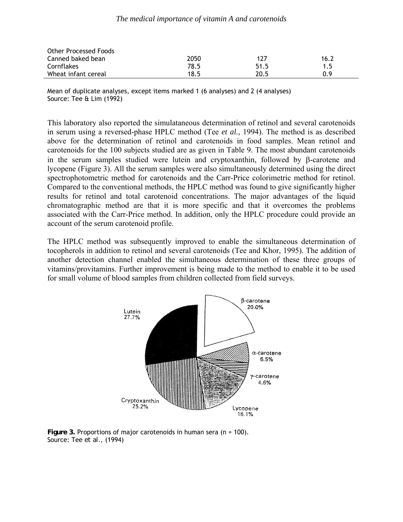#### *The medical importance of vitamin A and carotenoids*

| Other Processed Foods |      |      |      |
|-----------------------|------|------|------|
| Canned baked bean     | 2050 | 127  | 16.2 |
| <b>Cornflakes</b>     | 78.5 | 51.5 | 1.5  |
| Wheat infant cereal   | 18.5 | 20.5 | በ ዓ  |

Mean of duplicate analyses, except items marked 1 (6 analyses) and 2 (4 analyses) Source: Tee & Lim (1992)

This laboratory also reported the simulataneous determination of retinol and several carotenoids in serum using a reversed-phase HPLC method (Tee *et al.,* 1994). The method is as described above for the determination of retinol and carotenoids in food samples. Mean retinol and carotenoids for the 100 subjects studied are as given in Table 9. The most abundant carotenoids in the serum samples studied were lutein and cryptoxanthin, followed by β-carotene and lycopene (Figure 3). All the serum samples were also simultaneously determined using the direct spectrophotometric method for carotenoids and the Carr-Price colorimetric method for retinol. Compared to the conventional methods, the HPLC method was found to give significantly higher results for retinol and total carotenoid concentrations. The major advantages of the liquid chromatographic method are that it is more specific and that it overcomes the problems associated with the Carr-Price method. In addition, only the HPLC procedure could provide an account of the serum carotenoid profile.

The HPLC method was subsequently improved to enable the simultaneous determination of tocopherols in addition to retinol and several carotenoids (Tee and Khor, 1995). The addition of another detection channel enabled the simultaneous determination of these three groups of vitamins/provitamins. Further improvement is being made to the method to enable it to be used for small volume of blood samples from children collected from field surveys.



Figure 3. Proportions of major carotenoids in human sera (n = 100). Source: Tee *et al.,* (1994)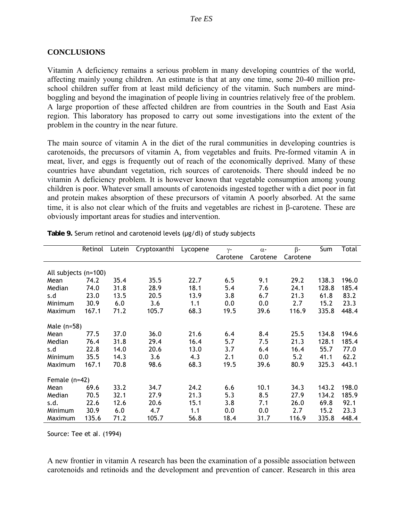### **CONCLUSIONS**

Vitamin A deficiency remains a serious problem in many developing countries of the world, affecting mainly young children. An estimate is that at any one time, some 20-40 million preschool children suffer from at least mild deficiency of the vitamin. Such numbers are mindboggling and beyond the imagination of people living in countries relatively free of the problem. A large proportion of these affected children are from countries in the South and East Asia region. This laboratory has proposed to carry out some investigations into the extent of the problem in the country in the near future.

The main source of vitamin A in the diet of the rural communities in developing countries is carotenoids, the precursors of vitamin A, from vegetables and fruits. Pre-formed vitamin A in meat, liver, and eggs is frequently out of reach of the economically deprived. Many of these countries have abundant vegetation, rich sources of carotenoids. There should indeed be no vitamin A deficiency problem. It is however known that vegetable consumption among young children is poor. Whatever small amounts of carotenoids ingested together with a diet poor in fat and protein makes absorption of these precursors of vitamin A poorly absorbed. At the same time, it is also not clear which of the fruits and vegetables are richest in β-carotene. These are obviously important areas for studies and intervention.

|                        | Retinol | Lutein | Cryptoxanthi | Lycopene | $\gamma$ - | $\alpha$ - | $\beta$ - | Sum   | Total |  |
|------------------------|---------|--------|--------------|----------|------------|------------|-----------|-------|-------|--|
|                        |         |        |              |          | Carotene   | Carotene   | Carotene  |       |       |  |
|                        |         |        |              |          |            |            |           |       |       |  |
| All subjects $(n=100)$ |         |        |              |          |            |            |           |       |       |  |
| Mean                   | 74.2    | 35.4   | 35.5         | 22.7     | 6.5        | 9.1        | 29.2      | 138.3 | 196.0 |  |
| Median                 | 74.0    | 31.8   | 28.9         | 18.1     | 5.4        | 7.6        | 24.1      | 128.8 | 185.4 |  |
| s.d                    | 23.0    | 13.5   | 20.5         | 13.9     | 3.8        | 6.7        | 21.3      | 61.8  | 83.2  |  |
| Minimum                | 30.9    | 6.0    | 3.6          | 1.1      | 0.0        | 0.0        | 2.7       | 15.2  | 23.3  |  |
| Maximum                | 167.1   | 71.2   | 105.7        | 68.3     | 19.5       | 39.6       | 116.9     | 335.8 | 448.4 |  |
| Male $(n=58)$          |         |        |              |          |            |            |           |       |       |  |
| Mean                   | 77.5    | 37.0   | 36.0         | 21.6     | 6.4        | 8.4        | 25.5      | 134.8 | 194.6 |  |
| Median                 | 76.4    | 31.8   | 29.4         | 16.4     | 5.7        | 7.5        | 21.3      | 128.1 | 185.4 |  |
| s.d                    | 22.8    | 14.0   | 20.6         | 13.0     | 3.7        | 6.4        | 16.4      | 55.7  | 77.0  |  |
| Minimum                | 35.5    | 14.3   | 3.6          | 4.3      | 2.1        | 0.0        | 5.2       | 41.1  | 62.2  |  |
| Maximum                | 167.1   | 70.8   | 98.6         | 68.3     | 19.5       | 39.6       | 80.9      | 325.3 | 443.1 |  |
| Female $(n=42)$        |         |        |              |          |            |            |           |       |       |  |
| Mean                   | 69.6    | 33.2   | 34.7         | 24.2     | 6.6        | 10.1       | 34.3      | 143.2 | 198.0 |  |
| Median                 | 70.5    | 32.1   | 27.9         | 21.3     | 5.3        | 8.5        | 27.9      | 134.2 | 185.9 |  |
| s.d.                   | 22.6    | 12.6   | 20.6         | 15.1     | 3.8        | 7.1        | 26.0      | 69.8  | 92.1  |  |
| Minimum                | 30.9    | 6.0    | 4.7          | 1.1      | 0.0        | 0.0        | 2.7       | 15.2  | 23.3  |  |
| Maximum                | 135.6   | 71.2   | 105.7        | 56.8     | 18.4       | 31.7       | 116.9     | 335.8 | 448.4 |  |

**Table 9.** Serum retinol and carotenoid levels (µg/dl) of study subjects

Source: Tee *et al.* (1994)

A new frontier in vitamin A research has been the examination of a possible association between carotenoids and retinoids and the development and prevention of cancer. Research in this area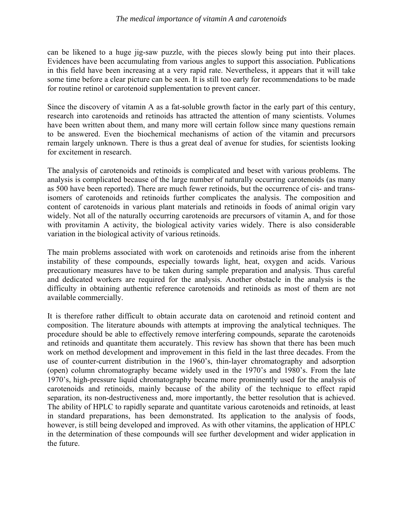#### *The medical importance of vitamin A and carotenoids*

can be likened to a huge jig-saw puzzle, with the pieces slowly being put into their places. Evidences have been accumulating from various angles to support this association. Publications in this field have been increasing at a very rapid rate. Nevertheless, it appears that it will take some time before a clear picture can be seen. It is still too early for recommendations to be made for routine retinol or carotenoid supplementation to prevent cancer.

Since the discovery of vitamin A as a fat-soluble growth factor in the early part of this century, research into carotenoids and retinoids has attracted the attention of many scientists. Volumes have been written about them, and many more will certain follow since many questions remain to be answered. Even the biochemical mechanisms of action of the vitamin and precursors remain largely unknown. There is thus a great deal of avenue for studies, for scientists looking for excitement in research.

The analysis of carotenoids and retinoids is complicated and beset with various problems. The analysis is complicated because of the large number of naturally occurring carotenoids (as many as 500 have been reported). There are much fewer retinoids, but the occurrence of cis- and transisomers of carotenoids and retinoids further complicates the analysis. The composition and content of carotenoids in various plant materials and retinoids in foods of animal origin vary widely. Not all of the naturally occurring carotenoids are precursors of vitamin A, and for those with provitamin A activity, the biological activity varies widely. There is also considerable variation in the biological activity of various retinoids.

The main problems associated with work on carotenoids and retinoids arise from the inherent instability of these compounds, especially towards light, heat, oxygen and acids. Various precautionary measures have to be taken during sample preparation and analysis. Thus careful and dedicated workers are required for the analysis. Another obstacle in the analysis is the difficulty in obtaining authentic reference carotenoids and retinoids as most of them are not available commercially.

It is therefore rather difficult to obtain accurate data on carotenoid and retinoid content and composition. The literature abounds with attempts at improving the analytical techniques. The procedure should be able to effectively remove interfering compounds, separate the carotenoids and retinoids and quantitate them accurately. This review has shown that there has been much work on method development and improvement in this field in the last three decades. From the use of counter-current distribution in the 1960's, thin-layer chromatography and adsorption (open) column chromatography became widely used in the 1970's and 1980's. From the late 1970's, high-pressure liquid chromatography became more prominently used for the analysis of carotenoids and retinoids, mainly because of the ability of the technique to effect rapid separation, its non-destructiveness and, more importantly, the better resolution that is achieved. The ability of HPLC to rapidly separate and quantitate various carotenoids and retinoids, at least in standard preparations, has been demonstrated. Its application to the analysis of foods, however, is still being developed and improved. As with other vitamins, the application of HPLC in the determination of these compounds will see further development and wider application in the future.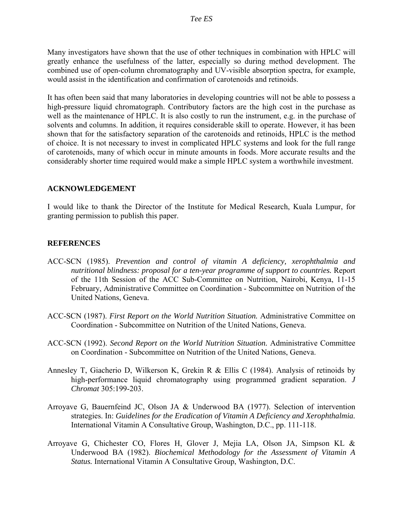Many investigators have shown that the use of other techniques in combination with HPLC will greatly enhance the usefulness of the latter, especially so during method development. The combined use of open-column chromatography and UV-visible absorption spectra, for example, would assist in the identification and confirmation of carotenoids and retinoids.

It has often been said that many laboratories in developing countries will not be able to possess a high-pressure liquid chromatograph. Contributory factors are the high cost in the purchase as well as the maintenance of HPLC. It is also costly to run the instrument, e.g. in the purchase of solvents and columns. In addition, it requires considerable skill to operate. However, it has been shown that for the satisfactory separation of the carotenoids and retinoids, HPLC is the method of choice. It is not necessary to invest in complicated HPLC systems and look for the full range of carotenoids, many of which occur in minute amounts in foods. More accurate results and the considerably shorter time required would make a simple HPLC system a worthwhile investment.

#### **ACKNOWLEDGEMENT**

I would like to thank the Director of the Institute for Medical Research, Kuala Lumpur, for granting permission to publish this paper.

### **REFERENCES**

- ACC-SCN (1985). *Prevention and control of vitamin A deficiency, xerophthalmia and nutritional blindness: proposal for a ten-year programme of support to countries.* Report of the 11th Session of the ACC Sub-Committee on Nutrition, Nairobi, Kenya, 11-15 February, Administrative Committee on Coordination - Subcommittee on Nutrition of the United Nations, Geneva.
- ACC-SCN (1987). *First Report on the World Nutrition Situation.* Administrative Committee on Coordination - Subcommittee on Nutrition of the United Nations, Geneva.
- ACC-SCN (1992). *Second Report on the World Nutrition Situation.* Administrative Committee on Coordination - Subcommittee on Nutrition of the United Nations, Geneva.
- Annesley T, Giacherio D, Wilkerson K, Grekin R & Ellis C (1984). Analysis of retinoids by high-performance liquid chromatography using programmed gradient separation. *J Chromat* 305:199-203.
- Arroyave G, Bauernfeind JC, Olson JA & Underwood BA (1977). Selection of intervention strategies. In: *Guidelines for the Eradication of Vitamin A Deficiency and Xerophthalmia.*  International Vitamin A Consultative Group, Washington, D.C., pp. 111-118.
- Arroyave G, Chichester CO, Flores H, Glover J, Mejia LA, Olson JA, Simpson KL & Underwood BA (1982). *Biochemical Methodology for the Assessment of Vitamin A Status.* International Vitamin A Consultative Group, Washington, D.C.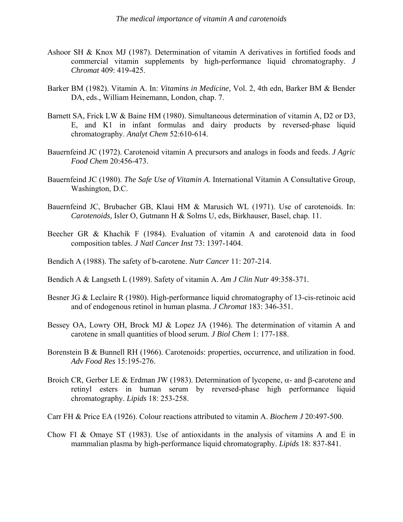- Ashoor SH & Knox MJ (1987). Determination of vitamin A derivatives in fortified foods and commercial vitamin supplements by high-performance liquid chromatography. *J Chromat* 409: 419-425.
- Barker BM (1982). Vitamin A. In: *Vitamins in Medicine,* Vol. 2, 4th edn, Barker BM & Bender DA, eds., William Heinemann, London, chap. 7.
- Barnett SA, Frick LW & Baine HM (1980). Simultaneous determination of vitamin A, D2 or D3, E, and K1 in infant formulas and dairy products by reversed-phase liquid chromatography. *Analyt Chem* 52:610-614.
- Bauernfeind JC (1972). Carotenoid vitamin A precursors and analogs in foods and feeds. *J Agric Food Chem* 20:456-473.
- Bauernfeind JC (1980). *The Safe Use of Vitamin A.* International Vitamin A Consultative Group, Washington, D.C.
- Bauernfeind JC, Brubacher GB, Klaui HM & Marusich WL (1971). Use of carotenoids. In: *Carotenoids,* Isler O, Gutmann H & Solms U, eds, Birkhauser, Basel, chap. 11.
- Beecher GR & Khachik F (1984). Evaluation of vitamin A and carotenoid data in food composition tables. *J Natl Cancer Inst* 73: 1397-1404.
- Bendich A (1988). The safety of b-carotene. *Nutr Cancer* 11: 207-214.
- Bendich A & Langseth L (1989). Safety of vitamin A. *Am J Clin Nutr* 49:358-371.
- Besner JG & Leclaire R (1980). High-performance liquid chromatography of 13-cis-retinoic acid and of endogenous retinol in human plasma. *J Chromat* 183: 346-351.
- Bessey OA, Lowry OH, Brock MJ & Lopez JA (1946). The determination of vitamin A and carotene in small quantities of blood serum. *J Biol Chem* 1: 177-188.
- Borenstein B & Bunnell RH (1966). Carotenoids: properties, occurrence, and utilization in food. *Adv Food Res* 15:195-276.
- Broich CR, Gerber LE & Erdman JW (1983). Determination of lycopene, α- and β-carotene and retinyl esters in human serum by reversed-phase high performance liquid chromatography. *Lipids* 18: 253-258.
- Carr FH & Price EA (1926). Colour reactions attributed to vitamin A. *Biochem J* 20:497-500.
- Chow FI & Omaye ST (1983). Use of antioxidants in the analysis of vitamins A and E in mammalian plasma by high-performance liquid chromatography. *Lipids* 18: 837-841.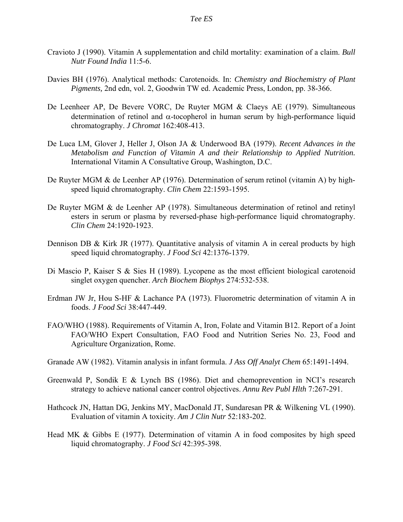- Cravioto J (1990). Vitamin A supplementation and child mortality: examination of a claim. *Bull Nutr Found India* 11:5-6.
- Davies BH (1976). Analytical methods: Carotenoids. In: *Chemistry and Biochemistry of Plant Pigments,* 2nd edn, vol. 2, Goodwin TW ed. Academic Press, London, pp. 38-366.
- De Leenheer AP, De Bevere VORC, De Ruyter MGM & Claeys AE (1979). Simultaneous determination of retinol and  $\alpha$ -tocopherol in human serum by high-performance liquid chromatography. *J Chromat* 162:408-413.
- De Luca LM, Glover J, Heller J, Olson JA & Underwood BA (1979). *Recent Advances in the Metabolism and Function of Vitamin A and their Relationship to Applied Nutrition.*  International Vitamin A Consultative Group, Washington, D.C.
- De Ruyter MGM & de Leenher AP (1976). Determination of serum retinol (vitamin A) by highspeed liquid chromatography. *Clin Chem* 22:1593-1595.
- De Ruyter MGM & de Leenher AP (1978). Simultaneous determination of retinol and retinyl esters in serum or plasma by reversed-phase high-performance liquid chromatography. *Clin Chem* 24:1920-1923.
- Dennison DB & Kirk JR (1977). Quantitative analysis of vitamin A in cereal products by high speed liquid chromatography. *J Food Sci* 42:1376-1379.
- Di Mascio P, Kaiser S & Sies H (1989). Lycopene as the most efficient biological carotenoid singlet oxygen quencher. *Arch Biochem Biophys* 274:532-538.
- Erdman JW Jr, Hou S-HF & Lachance PA (1973). Fluorometric determination of vitamin A in foods. *J Food Sci* 38:447-449.
- FAO/WHO (1988). Requirements of Vitamin A, Iron, Folate and Vitamin B12. Report of a Joint FAO/WHO Expert Consultation, FAO Food and Nutrition Series No. 23, Food and Agriculture Organization, Rome.
- Granade AW (1982). Vitamin analysis in infant formula. *J Ass Off Analyt Chem* 65:1491-1494.
- Greenwald P, Sondik E & Lynch BS (1986). Diet and chemoprevention in NCI's research strategy to achieve national cancer control objectives. *Annu Rev Publ Hlth* 7:267-291.
- Hathcock JN, Hattan DG, Jenkins MY, MacDonald JT, Sundaresan PR & Wilkening VL (1990). Evaluation of vitamin A toxicity. *Am J Clin Nutr* 52:183-202.
- Head MK & Gibbs E (1977). Determination of vitamin A in food composites by high speed liquid chromatography. *J Food Sci* 42:395-398.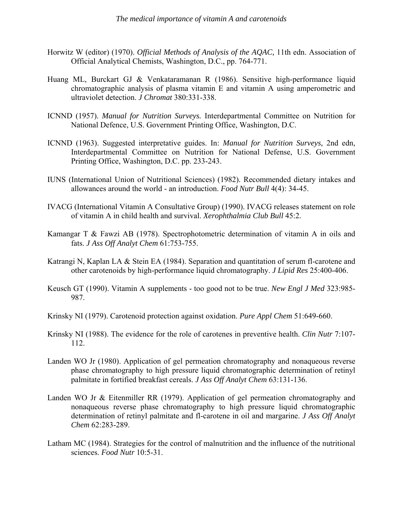- Horwitz W (editor) (1970). *Official Methods of Analysis of the AQAC,* 11th edn. Association of Official Analytical Chemists, Washington, D.C., pp. 764-771.
- Huang ML, Burckart GJ & Venkataramanan R (1986). Sensitive high-performance liquid chromatographic analysis of plasma vitamin E and vitamin A using amperometric and ultraviolet detection. *J Chromat* 380:331-338.
- ICNND (1957). *Manual for Nutrition Surveys.* Interdepartmental Committee on Nutrition for National Defence, U.S. Government Printing Office, Washington, D.C.
- ICNND (1963). Suggested interpretative guides. In: *Manual for Nutrition Surveys,* 2nd edn, Interdepartmental Committee on Nutrition for National Defense, U.S. Government Printing Office, Washington, D.C. pp. 233-243.
- IUNS (International Union of Nutritional Sciences) (1982). Recommended dietary intakes and allowances around the world - an introduction. *Food Nutr Bull* 4(4): 34-45.
- IVACG (International Vitamin A Consultative Group) (1990). IVACG releases statement on role of vitamin A in child health and survival. *Xerophthalmia Club Bull* 45:2.
- Kamangar T & Fawzi AB (1978). Spectrophotometric determination of vitamin A in oils and fats. *J Ass Off Analyt Chem* 61:753-755.
- Katrangi N, Kaplan LA & Stein EA (1984). Separation and quantitation of serum fl-carotene and other carotenoids by high-performance liquid chromatography. *J Lipid Res* 25:400-406.
- Keusch GT (1990). Vitamin A supplements too good not to be true. *New Engl J Med* 323:985- 987.
- Krinsky NI (1979). Carotenoid protection against oxidation. *Pure Appl Chem* 51:649-660.
- Krinsky NI (1988). The evidence for the role of carotenes in preventive health. *Clin Nutr* 7:107- 112.
- Landen WO Jr (1980). Application of gel permeation chromatography and nonaqueous reverse phase chromatography to high pressure liquid chromatographic determination of retinyl palmitate in fortified breakfast cereals. *J Ass Off Analyt Chem* 63:131-136.
- Landen WO Jr & Eitenmiller RR (1979). Application of gel permeation chromatography and nonaqueous reverse phase chromatography to high pressure liquid chromatographic determination of retinyl palmitate and fl-carotene in oil and margarine. *J Ass Off Analyt Chem* 62:283-289.
- Latham MC (1984). Strategies for the control of malnutrition and the influence of the nutritional sciences. *Food Nutr* 10:5-31.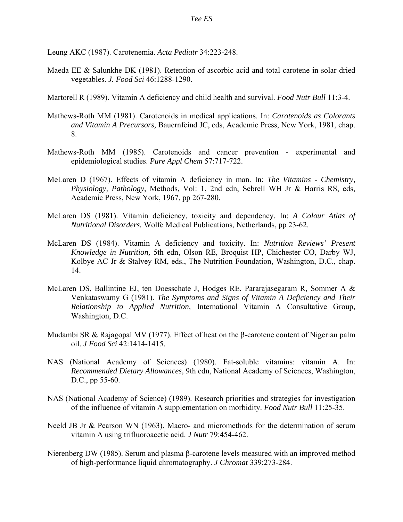Leung AKC (1987). Carotenemia. *Acta Pediatr* 34:223-248.

- Maeda EE & Salunkhe DK (1981). Retention of ascorbic acid and total carotene in solar dried vegetables. *J. Food Sci* 46:1288-1290.
- Martorell R (1989). Vitamin A deficiency and child health and survival. *Food Nutr Bull* 11:3-4.
- Mathews-Roth MM (1981). Carotenoids in medical applications. In: *Carotenoids as Colorants and Vitamin A Precursors,* Bauernfeind JC, eds, Academic Press, New York, 1981, chap. 8.
- Mathews-Roth MM (1985). Carotenoids and cancer prevention experimental and epidemiological studies. *Pure Appl Chem* 57:717-722.
- MeLaren D (1967). Effects of vitamin A deficiency in man. In: *The Vitamins Chemistry, Physiology, Pathology,* Methods, Vol: 1, 2nd edn, Sebrell WH Jr & Harris RS, eds, Academic Press, New York, 1967, pp 267-280.
- McLaren DS (1981). Vitamin deficiency, toxicity and dependency. In: *A Colour Atlas of Nutritional Disorders.* Wolfe Medical Publications, Netherlands, pp 23-62.
- McLaren DS (1984). Vitamin A deficiency and toxicity. In: *Nutrition Reviews' Present Knowledge in Nutrition,* 5th edn, Olson RE, Broquist HP, Chichester CO, Darby WJ, Kolbye AC Jr & Stalvey RM, eds., The Nutrition Foundation, Washington, D.C., chap. 14.
- McLaren DS, Ballintine EJ, ten Doesschate J, Hodges RE, Pararajasegaram R, Sommer A & Venkataswamy G (1981). *The Symptoms and Signs of Vitamin A Deficiency and Their Relationship to Applied Nutrition,* International Vitamin A Consultative Group, Washington, D.C.
- Mudambi SR & Rajagopal MV (1977). Effect of heat on the β-carotene content of Nigerian palm oil. *J Food Sci* 42:1414-1415.
- NAS (National Academy of Sciences) (1980). Fat-soluble vitamins: vitamin A. In: *Recommended Dietary Allowances,* 9th edn, National Academy of Sciences, Washington, D.C., pp 55-60.
- NAS (National Academy of Science) (1989). Research priorities and strategies for investigation of the influence of vitamin A supplementation on morbidity. *Food Nutr Bull* 11:25-35.
- Neeld JB Jr & Pearson WN (1963). Macro- and micromethods for the determination of serum vitamin A using trifluoroacetic acid. *J Nutr* 79:454-462.
- Nierenberg DW (1985). Serum and plasma β-carotene levels measured with an improved method of high-performance liquid chromatography. *J Chromat* 339:273-284.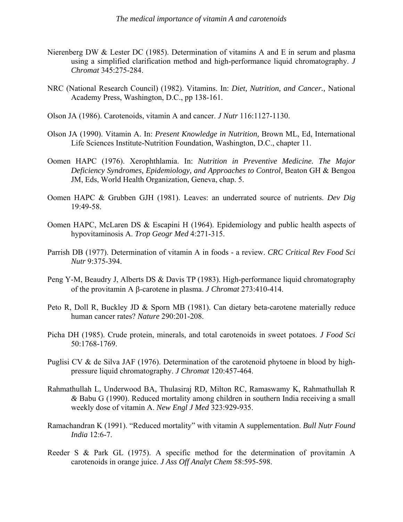- Nierenberg DW & Lester DC (1985). Determination of vitamins A and E in serum and plasma using a simplified clarification method and high-performance liquid chromatography. *J Chromat* 345:275-284.
- NRC (National Research Council) (1982). Vitamins. In: *Diet, Nutrition, and Cancer.,* National Academy Press, Washington, D.C., pp 138-161.
- Olson JA (1986). Carotenoids, vitamin A and cancer. *J Nutr* 116:1127-1130.
- Olson JA (1990). Vitamin A. In: *Present Knowledge in Nutrition,* Brown ML, Ed, International Life Sciences Institute-Nutrition Foundation, Washington, D.C., chapter 11.
- Oomen HAPC (1976). Xerophthlamia. In: *Nutrition in Preventive Medicine. The Major Deficiency Syndromes, Epidemiology, and Approaches to Control,* Beaton GH & Bengoa JM, Eds, World Health Organization, Geneva, chap. 5.
- Oomen HAPC & Grubben GJH (1981). Leaves: an underrated source of nutrients. *Dev Dig*  19:49-58.
- Oomen HAPC, McLaren DS & Escapini H (1964). Epidemiology and public health aspects of hypovitaminosis A. *Trop Geogr Med* 4:271-315.
- Parrish DB (1977). Determination of vitamin A in foods a review. *CRC Critical Rev Food Sci Nutr* 9:375-394.
- Peng Y-M, Beaudry J, Alberts DS & Davis TP (1983). High-performance liquid chromatography of the provitamin A β-carotene in plasma. *J Chromat* 273:410-414.
- Peto R, Doll R, Buckley JD & Sporn MB (1981). Can dietary beta-carotene materially reduce human cancer rates? *Nature* 290:201-208.
- Picha DH (1985). Crude protein, minerals, and total carotenoids in sweet potatoes. *J Food Sci*  50:1768-1769.
- Puglisi CV & de Silva JAF (1976). Determination of the carotenoid phytoene in blood by highpressure liquid chromatography. *J Chromat* 120:457-464.
- Rahmathullah L, Underwood BA, Thulasiraj RD, Milton RC, Ramaswamy K, Rahmathullah R *&* Babu G (1990). Reduced mortality among children in southern India receiving a small weekly dose of vitamin A. *New Engl J Med* 323:929-935.
- Ramachandran K (1991). "Reduced mortality" with vitamin A supplementation. *Bull Nutr Found India* 12:6-7.
- Reeder S & Park GL (1975). A specific method for the determination of provitamin A carotenoids in orange juice. *J Ass Off Analyt Chem* 58:595-598.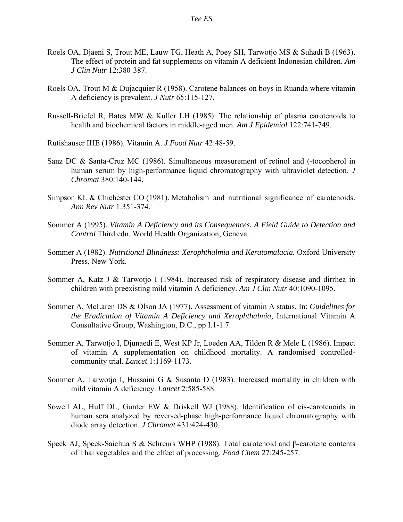- Roels OA, Djaeni S, Trout ME, Lauw TG, Heath A, Poey SH, Tarwotjo MS & Suhadi B (1963). The effect of protein and fat supplements on vitamin A deficient Indonesian children. *Am J Clin Nutr* 12:380-387.
- Roels OA, Trout M & Dujacquier R (1958). Carotene balances on boys in Ruanda where vitamin A deficiency is prevalent. *J Nutr* 65:115-127.
- Russell-Briefel R, Bates MW & Kuller LH (1985). The relationship of plasma carotenoids to health and biochemical factors in middle-aged men. *Am J Epidemiol* 122:741-749.

Rutishauser IHE (1986). Vitamin A. *J Food Nutr* 42:48-59.

- Sanz DC & Santa-Cruz MC (1986). Simultaneous measurement of retinol and (-tocopherol in human serum by high-performance liquid chromatography with ultraviolet detection. *J Chromat* 380:140-144.
- Simpson KL & Chichester CO (1981). Metabolism and nutritional significance of carotenoids. *Ann Rev Nutr* 1:351-374.
- Sommer A (1995). *Vitamin A Deficiency and its Consequences. A Field Guide to Detection and Control* Third edn. World Health Organization, Geneva.
- Sommer A (1982). *Nutritional Blindness: Xerophthalmia and Keratomalacia*. Oxford University Press, New York.
- Sommer A, Katz J & Tarwotjo I (1984). Increased risk of respiratory disease and dirrhea in children with preexisting mild vitamin A deficiency. *Am J Clin Nutr* 40:1090-1095.
- Sommer A, McLaren DS & Olson JA (1977). Assessment of vitamin A status. In: *Guidelines for the Eradication of Vitamin A Deficiency and Xerophthalmia,* International Vitamin A Consultative Group, Washington, D.C., pp I.1-1.7.
- Sommer A, Tarwotjo I, Djunaedi E, West KP Jr, Loeden AA, Tilden R *&* Mele L (1986). Impact of vitamin A supplementation on childhood mortality. A randomised controlledcommunity trial. *Lancet* 1:1169-1173.
- Sommer A, Tarwotjo I, Hussaini G & Susanto D (1983). Increased mortality in children with mild vitamin A deficiency. *Lancet* 2:585-588.
- Sowell AL, Huff DL, Gunter EW & Driskell WJ (1988). Identification of cis-carotenoids in human sera analyzed by reversed-phase high-performance liquid chromatography with diode array detection. *J Chromat* 431:424-430.
- Speek AJ, Speek-Saichua S & Schreurs WHP (1988). Total carotenoid and β-carotene contents of Thai vegetables and the effect of processing. *Food Chem* 27:245-257.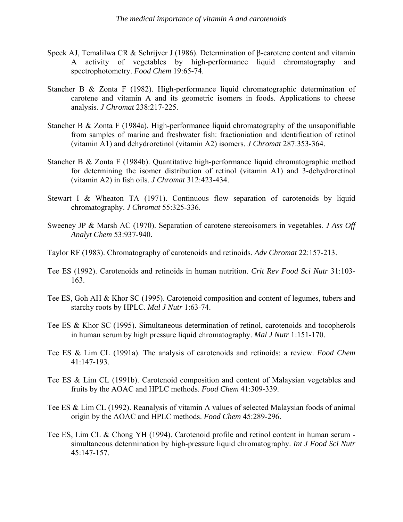- Speek AJ, Temalilwa CR & Schrijver J (1986). Determination of β-carotene content and vitamin A activity of vegetables by high-performance liquid chromatography and spectrophotometry. *Food Chem* 19:65-74.
- Stancher B & Zonta F (1982). High-performance liquid chromatographic determination of carotene and vitamin A and its geometric isomers in foods. Applications to cheese analysis. *J Chromat* 238:217-225.
- Stancher B & Zonta F (1984a). High-performance liquid chromatography of the unsaponifiable from samples of marine and freshwater fish: fractioniation and identification of retinol (vitamin A1) and dehydroretinol (vitamin A2) isomers. *J Chromat* 287:353-364.
- Stancher B & Zonta F (1984b). Quantitative high-performance liquid chromatographic method for determining the isomer distribution of retinol (vitamin A1) and 3-dehydroretinol (vitamin A2) in fish oils. *J Chromat* 312:423-434.
- Stewart I & Wheaton TA (1971). Continuous flow separation of carotenoids by liquid chromatography. *J Chromat* 55:325-336.
- Sweeney JP & Marsh AC (1970). Separation of carotene stereoisomers in vegetables. *J Ass Off Analyt Chem* 53:937-940.
- Taylor RF (1983). Chromatography of carotenoids and retinoids. *Adv Chromat* 22:157-213.
- Tee ES (1992). Carotenoids and retinoids in human nutrition. *Crit Rev Food Sci Nutr* 31:103- 163.
- Tee ES, Goh AH & Khor SC (1995). Carotenoid composition and content of legumes, tubers and starchy roots by HPLC. *Mal J Nutr* 1:63-74.
- Tee ES & Khor SC (1995). Simultaneous determination of retinol, carotenoids and tocopherols in human serum by high pressure liquid chromatography. *Mal J Nutr* 1:151-170.
- Tee ES & Lim CL (1991a). The analysis of carotenoids and retinoids: a review. *Food Chem*  41:147-193.
- Tee ES & Lim CL (1991b). Carotenoid composition and content of Malaysian vegetables and fruits by the AOAC and HPLC methods. *Food Chem* 41:309-339.
- Tee ES & Lim CL (1992). Reanalysis of vitamin A values of selected Malaysian foods of animal origin by the AOAC and HPLC methods. *Food Chem* 45:289-296.
- Tee ES, Lim CL & Chong YH (1994). Carotenoid profile and retinol content in human serum simultaneous determination by high-pressure liquid chromatography. *Int J Food Sci Nutr*  45:147-157.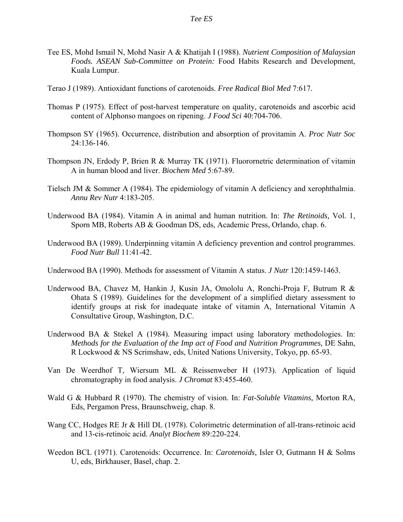- Tee ES, Mohd Ismail N, Mohd Nasir A & Khatijah I (1988). *Nutrient Composition of Malaysian Foods. ASEAN Sub-Committee on Protein:* Food Habits Research and Development, Kuala Lumpur.
- Terao J (1989). Antioxidant functions of carotenoids. *Free Radical Biol Med* 7:617.
- Thomas P (1975). Effect of post-harvest temperature on quality, carotenoids and ascorbic acid content of Alphonso mangoes on ripening. *J Food Sci* 40:704-706.
- Thompson SY (1965). Occurrence, distribution and absorption of provitamin A. *Proc Nutr Soc*  24:136-146.
- Thompson JN, Erdody P, Brien R & Murray TK (1971). Fluorornetric determination of vitamin A in human blood and liver. *Biochem Med* 5:67-89.
- Tielsch JM & Sommer A (1984). The epidemiology of vitamin A deficiency and xerophthalmia. *Annu Rev Nutr* 4:183-205.
- Underwood BA (1984). Vitamin A in animal and human nutrition. In: *The Retinoids,* Vol. 1, Sporn MB, Roberts AB & Goodman DS, eds, Academic Press, Orlando, chap. 6.
- Underwood BA (1989). Underpinning vitamin A deficiency prevention and control programmes. *Food Nutr Bull* 11:41-42.
- Underwood BA (1990). Methods for assessment of Vitamin A status. *J Nutr* 120:1459-1463.
- Underwood BA, Chavez M, Hankin J, Kusin JA, Omololu A, Ronchi-Proja F, Butrum R & Ohata S (1989). Guidelines for the development of a simplified dietary assessment to identify groups at risk for inadequate intake of vitamin A, International Vitamin A Consultative Group, Washington, D.C.
- Underwood BA & Stekel A (1984). Measuring impact using laboratory methodologies. In: *Methods for the Evaluation of the Imp act of Food and Nutrition Programmes,* DE Sahn, R Lockwood & NS Scrimshaw, eds, United Nations University, Tokyo, pp. 65-93.
- Van De Weerdhof T, Wiersum ML & Reissenweber H (1973). Application of liquid chromatography in food analysis. *J Chromat* 83:455-460.
- Wald G & Hubbard R (1970). The chemistry of vision. In: *Fat-Soluble Vitamins,* Morton RA, Eds, Pergamon Press, Braunschweig, chap. 8.
- Wang CC, Hodges RE Jr & Hill DL (1978). Colorimetric determination of all-trans-retinoic acid and 13-cis-retinoic acid. *Analyt Biochem* 89:220-224.
- Weedon BCL (1971). Carotenoids: Occurrence. In: *Carotenoids,* Isler O, Gutmann H & Solms U, eds, Birkhauser, Basel, chap. 2.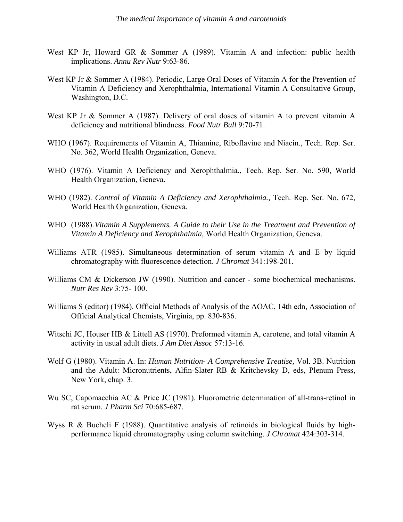- West KP Jr, Howard GR & Sommer A (1989). Vitamin A and infection: public health implications. *Annu Rev Nutr* 9:63-86.
- West KP Jr & Sommer A (1984). Periodic, Large Oral Doses of Vitamin A for the Prevention of Vitamin A Deficiency and Xerophthalmia, International Vitamin A Consultative Group, Washington, D.C.
- West KP Jr & Sommer A (1987). Delivery of oral doses of vitamin A to prevent vitamin A deficiency and nutritional blindness. *Food Nutr Bull* 9:70-71.
- WHO (1967). Requirements of Vitamin A, Thiamine, Riboflavine and Niacin., Tech. Rep. Ser. No. 362, World Health Organization, Geneva.
- WHO (1976). Vitamin A Deficiency and Xerophthalmia., Tech. Rep. Ser. No. 590, World Health Organization, Geneva.
- WHO (1982). *Control of Vitamin A Deficiency and Xerophthalmia.,* Tech. Rep. Ser. No. 672, World Health Organization, Geneva.
- WHO (1988). *Vitamin A Supplements. A Guide to their Use in the Treatment and Prevention of Vitamin A Deficiency and Xerophthalmia,* World Health Organization, Geneva.
- Williams ATR (1985). Simultaneous determination of serum vitamin A and E by liquid chromatography with fluorescence detection. *J Chromat* 341:198-201.
- Williams CM & Dickerson JW (1990). Nutrition and cancer some biochemical mechanisms. *Nutr Res Rev* 3:75- 100.
- Williams S (editor) (1984). Official Methods of Analysis of the AOAC, 14th edn, Association of Official Analytical Chemists, Virginia, pp. 830-836.
- Witschi JC, Houser HB & Littell AS (1970). Preformed vitamin A, carotene, and total vitamin A activity in usual adult diets. *J Am Diet Assoc* 57:13-16.
- Wolf G (1980). Vitamin A. In: *Human Nutrition- A Comprehensive Treatise,* Vol. 3B. Nutrition and the Adult: Micronutrients, Alfin-Slater RB & Kritchevsky D, eds, Plenum Press, New York, chap. 3.
- Wu SC, Capomacchia AC & Price JC (1981). Fluorometric determination of all-trans-retinol in rat serum. *J Pharm Sci* 70:685-687.
- Wyss R & Bucheli F (1988). Quantitative analysis of retinoids in biological fluids by highperformance liquid chromatography using column switching. *J Chromat* 424:303-314.